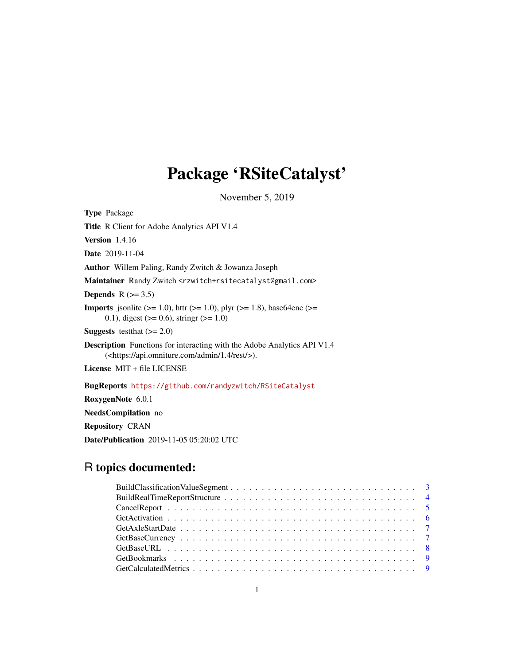# Package 'RSiteCatalyst'

November 5, 2019

Type Package

Title R Client for Adobe Analytics API V1.4

Version 1.4.16

Date 2019-11-04

Author Willem Paling, Randy Zwitch & Jowanza Joseph

Maintainer Randy Zwitch <rzwitch+rsitecatalyst@gmail.com>

Depends  $R$  ( $>= 3.5$ )

**Imports** jsonlite ( $>= 1.0$ ), httr ( $>= 1.0$ ), plyr ( $>= 1.8$ ), base64enc ( $>= 1.8$ ) 0.1), digest ( $> = 0.6$ ), stringr ( $> = 1.0$ )

**Suggests** testthat  $(>= 2.0)$ 

Description Functions for interacting with the Adobe Analytics API V1.4 (<https://api.omniture.com/admin/1.4/rest/>).

License MIT + file LICENSE

BugReports <https://github.com/randyzwitch/RSiteCatalyst>

RoxygenNote 6.0.1

NeedsCompilation no

Repository CRAN

Date/Publication 2019-11-05 05:20:02 UTC

# R topics documented: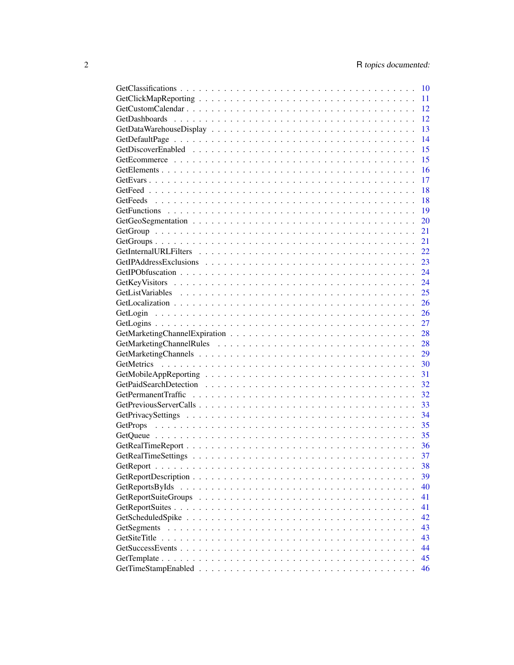| $\overline{10}$ |
|-----------------|
| 11              |
| 12              |
| 12              |
| 13              |
| 14              |
| 15              |
| 15              |
| 16              |
| 17              |
| 18              |
| 18              |
| 19              |
| 20              |
| 21              |
| 21              |
|                 |
|                 |
|                 |
|                 |
| 25              |
| 26              |
|                 |
| 27              |
|                 |
|                 |
|                 |
|                 |
|                 |
| 32              |
| 32              |
| 33              |
| 34              |
| 35              |
|                 |
|                 |
|                 |
| 37              |
| 38              |
| 39              |
| 40              |
| 41              |
| 41              |
| 42              |
| 43              |
| 43              |
| 44              |
| 45              |
| 46              |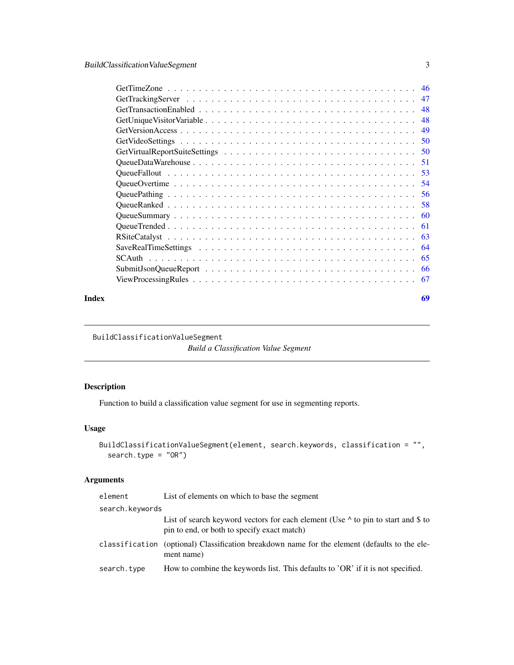<span id="page-2-0"></span>

| - 46 |
|------|
| 47   |
| 48   |
| 48   |
| 49   |
| .50  |
|      |
| -51  |
|      |
| .54  |
| 56   |
| 58   |
| 60   |
| 61   |
| 63   |
| 64   |
| 65   |
| 66   |
| 67   |
|      |

#### **Index** [69](#page-68-0)

BuildClassificationValueSegment

*Build a Classification Value Segment*

## Description

Function to build a classification value segment for use in segmenting reports.

# Usage

```
BuildClassificationValueSegment(element, search.keywords, classification = "",
  search.type = "OR")
```
## Arguments

| element         | List of elements on which to base the segment                                                                                          |
|-----------------|----------------------------------------------------------------------------------------------------------------------------------------|
| search.keywords |                                                                                                                                        |
|                 | List of search keyword vectors for each element (Use $\wedge$ to pin to start and \$ to<br>pin to end, or both to specify exact match) |
|                 | classification (optional) Classification breakdown name for the element (defaults to the ele-<br>ment name)                            |
| search.type     | How to combine the keywords list. This defaults to 'OR' if it is not specified.                                                        |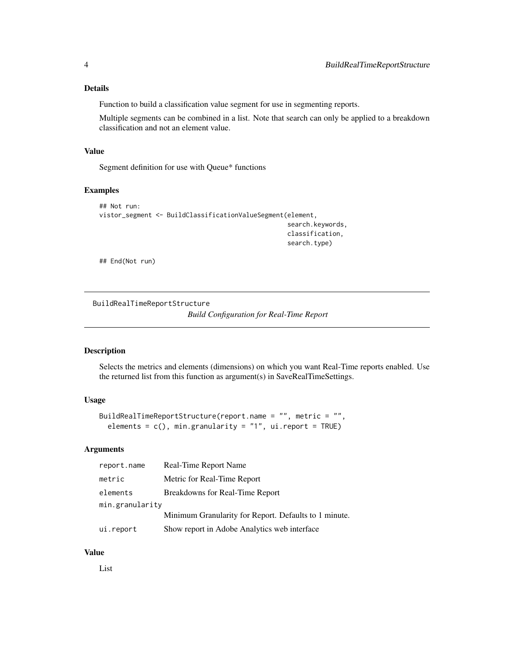## <span id="page-3-0"></span>Details

Function to build a classification value segment for use in segmenting reports.

Multiple segments can be combined in a list. Note that search can only be applied to a breakdown classification and not an element value.

## Value

Segment definition for use with Queue\* functions

## Examples

```
## Not run:
vistor_segment <- BuildClassificationValueSegment(element,
                                                   search.keywords,
                                                   classification,
                                                   search.type)
```
## End(Not run)

<span id="page-3-1"></span>BuildRealTimeReportStructure *Build Configuration for Real-Time Report*

## Description

Selects the metrics and elements (dimensions) on which you want Real-Time reports enabled. Use the returned list from this function as argument(s) in SaveRealTimeSettings.

#### Usage

```
BuildRealTimeReportStructure(report.name = "", metric = "",
 elements = c(), min.granularity = "1", ui.report = TRUE)
```
#### Arguments

| report.name     | Real-Time Report Name                                 |
|-----------------|-------------------------------------------------------|
| metric          | Metric for Real-Time Report                           |
| elements        | Breakdowns for Real-Time Report                       |
| min.granularity |                                                       |
|                 | Minimum Granularity for Report. Defaults to 1 minute. |
| ui.report       | Show report in Adobe Analytics web interface          |

#### Value

List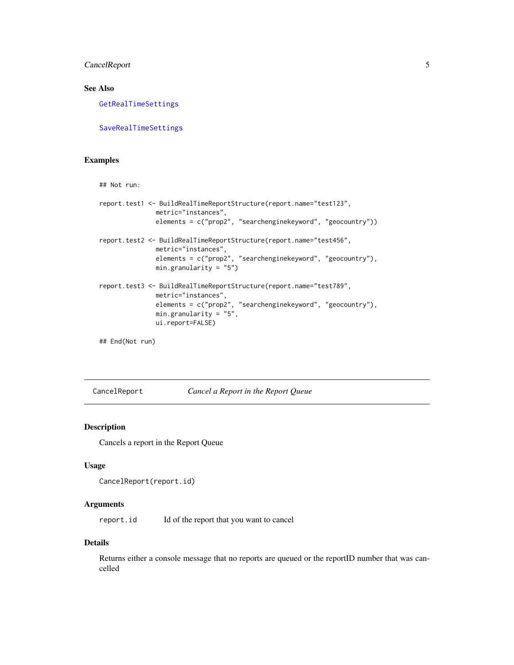## <span id="page-4-0"></span>CancelReport 5

## See Also

[GetRealTimeSettings](#page-36-1)

[SaveRealTimeSettings](#page-63-1)

# Examples

```
## Not run:
report.test1 <- BuildRealTimeReportStructure(report.name="test123",
              metric="instances",
              elements = c("prop2", "searchenginekeyword", "geocountry"))
report.test2 <- BuildRealTimeReportStructure(report.name="test456",
              metric="instances",
              elements = c("prop2", "searchenginekeyword", "geocountry"),
              min.granularity = "5")
report.test3 <- BuildRealTimeReportStructure(report.name="test789",
              metric="instances",
              elements = c("prop2", "searchenginekeyword", "geocountry"),
              min.granularity = "5",
              ui.report=FALSE)
```
## End(Not run)

CancelReport *Cancel a Report in the Report Queue*

#### Description

Cancels a report in the Report Queue

## Usage

```
CancelReport(report.id)
```
#### Arguments

report.id Id of the report that you want to cancel

#### Details

Returns either a console message that no reports are queued or the reportID number that was cancelled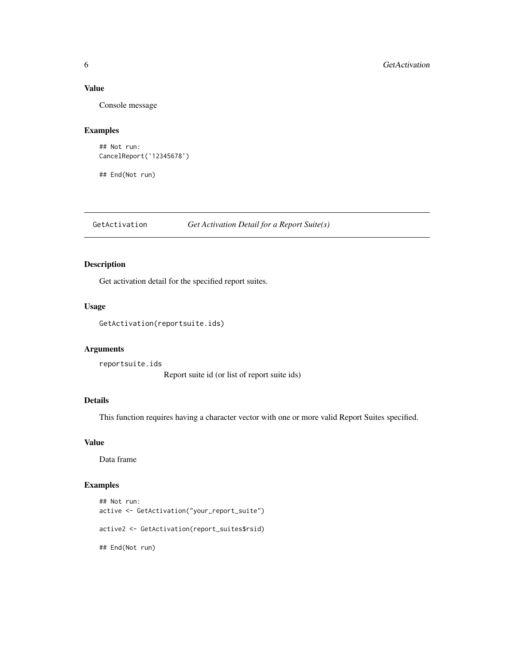# Value

Console message

#### Examples

```
## Not run:
CancelReport('12345678')
```
## End(Not run)

GetActivation *Get Activation Detail for a Report Suite(s)*

## Description

Get activation detail for the specified report suites.

## Usage

```
GetActivation(reportsuite.ids)
```
#### Arguments

reportsuite.ids Report suite id (or list of report suite ids)

#### Details

This function requires having a character vector with one or more valid Report Suites specified.

#### Value

Data frame

## Examples

```
## Not run:
active <- GetActivation("your_report_suite")
active2 <- GetActivation(report_suites$rsid)
## End(Not run)
```
<span id="page-5-0"></span>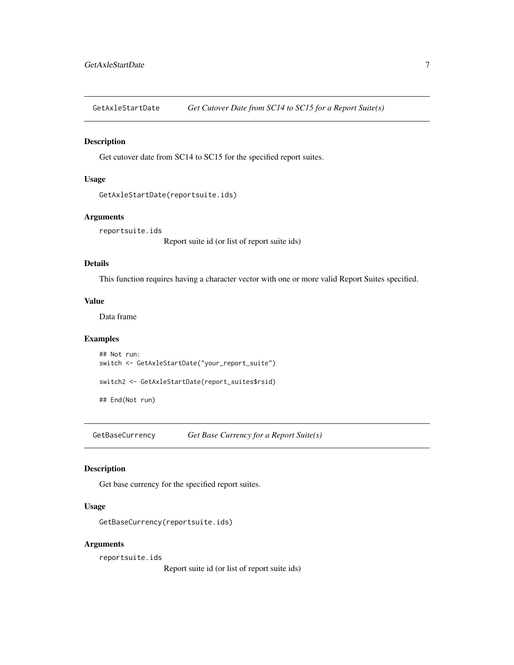<span id="page-6-0"></span>GetAxleStartDate *Get Cutover Date from SC14 to SC15 for a Report Suite(s)*

#### Description

Get cutover date from SC14 to SC15 for the specified report suites.

## Usage

```
GetAxleStartDate(reportsuite.ids)
```
## Arguments

reportsuite.ids

Report suite id (or list of report suite ids)

#### Details

This function requires having a character vector with one or more valid Report Suites specified.

#### Value

Data frame

## Examples

## Not run: switch <- GetAxleStartDate("your\_report\_suite") switch2 <- GetAxleStartDate(report\_suites\$rsid)

## End(Not run)

GetBaseCurrency *Get Base Currency for a Report Suite(s)*

#### Description

Get base currency for the specified report suites.

#### Usage

```
GetBaseCurrency(reportsuite.ids)
```
#### Arguments

reportsuite.ids

Report suite id (or list of report suite ids)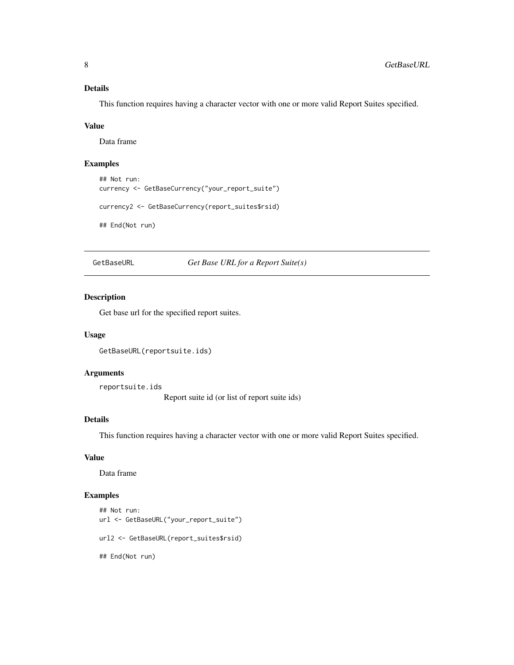# <span id="page-7-0"></span>Details

This function requires having a character vector with one or more valid Report Suites specified.

#### Value

Data frame

# Examples

```
## Not run:
currency <- GetBaseCurrency("your_report_suite")
```

```
currency2 <- GetBaseCurrency(report_suites$rsid)
```
## End(Not run)

GetBaseURL *Get Base URL for a Report Suite(s)*

#### Description

Get base url for the specified report suites.

#### Usage

GetBaseURL(reportsuite.ids)

## Arguments

reportsuite.ids

Report suite id (or list of report suite ids)

## Details

This function requires having a character vector with one or more valid Report Suites specified.

# Value

Data frame

#### Examples

```
## Not run:
url <- GetBaseURL("your_report_suite")
url2 <- GetBaseURL(report_suites$rsid)
## End(Not run)
```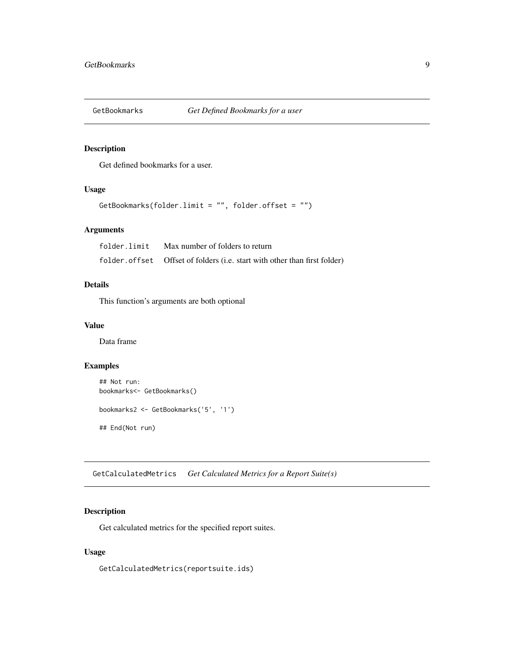<span id="page-8-0"></span>

## Description

Get defined bookmarks for a user.

## Usage

```
GetBookmarks(folder.limit = "", folder.offset = "")
```
## Arguments

| folder.limit | Max number of folders to return                                             |
|--------------|-----------------------------------------------------------------------------|
|              | folder. of fset Offset of folders (i.e. start with other than first folder) |

## Details

This function's arguments are both optional

# Value

Data frame

#### Examples

```
## Not run:
bookmarks<- GetBookmarks()
bookmarks2 <- GetBookmarks('5', '1')
## End(Not run)
```
GetCalculatedMetrics *Get Calculated Metrics for a Report Suite(s)*

## Description

Get calculated metrics for the specified report suites.

#### Usage

GetCalculatedMetrics(reportsuite.ids)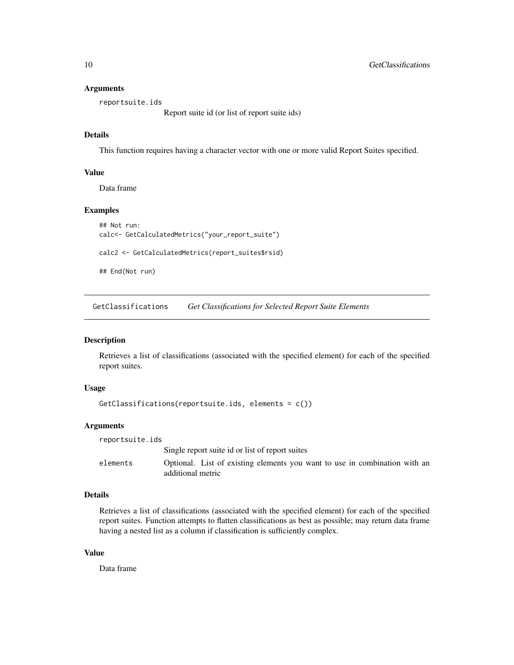#### <span id="page-9-0"></span>**Arguments**

reportsuite.ids

Report suite id (or list of report suite ids)

# Details

This function requires having a character vector with one or more valid Report Suites specified.

#### Value

Data frame

#### Examples

```
## Not run:
calc<- GetCalculatedMetrics("your_report_suite")
calc2 <- GetCalculatedMetrics(report_suites$rsid)
## End(Not run)
```
GetClassifications *Get Classifications for Selected Report Suite Elements*

#### Description

Retrieves a list of classifications (associated with the specified element) for each of the specified report suites.

#### Usage

```
GetClassifications(reportsuite.ids, elements = c())
```
#### Arguments

| reportsuite.ids |                                                                                                 |
|-----------------|-------------------------------------------------------------------------------------------------|
|                 | Single report suite id or list of report suites                                                 |
| elements        | Optional. List of existing elements you want to use in combination with an<br>additional metric |

#### Details

Retrieves a list of classifications (associated with the specified element) for each of the specified report suites. Function attempts to flatten classifications as best as possible; may return data frame having a nested list as a column if classification is sufficiently complex.

#### Value

Data frame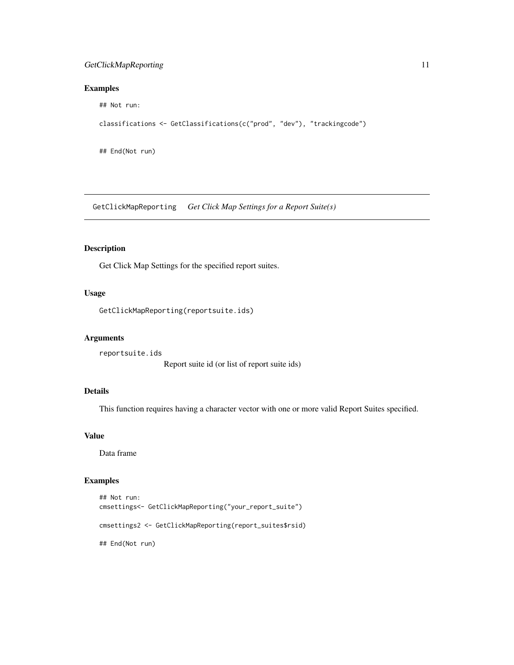## <span id="page-10-0"></span>GetClickMapReporting 11

## Examples

## Not run:

```
classifications <- GetClassifications(c("prod", "dev"), "trackingcode")
```
## End(Not run)

GetClickMapReporting *Get Click Map Settings for a Report Suite(s)*

## Description

Get Click Map Settings for the specified report suites.

# Usage

GetClickMapReporting(reportsuite.ids)

#### Arguments

reportsuite.ids Report suite id (or list of report suite ids)

## Details

This function requires having a character vector with one or more valid Report Suites specified.

## Value

Data frame

## Examples

```
## Not run:
cmsettings<- GetClickMapReporting("your_report_suite")
cmsettings2 <- GetClickMapReporting(report_suites$rsid)
## End(Not run)
```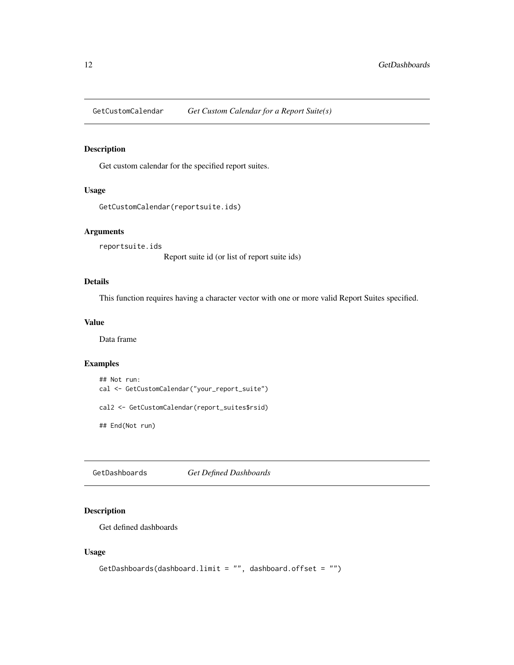<span id="page-11-0"></span>GetCustomCalendar *Get Custom Calendar for a Report Suite(s)*

## Description

Get custom calendar for the specified report suites.

#### Usage

```
GetCustomCalendar(reportsuite.ids)
```
#### Arguments

reportsuite.ids

Report suite id (or list of report suite ids)

# Details

This function requires having a character vector with one or more valid Report Suites specified.

#### Value

Data frame

#### Examples

```
## Not run:
cal <- GetCustomCalendar("your_report_suite")
cal2 <- GetCustomCalendar(report_suites$rsid)
## End(Not run)
```
GetDashboards *Get Defined Dashboards*

## Description

Get defined dashboards

#### Usage

```
GetDashboards(dashboard.limit = "", dashboard.offset = "")
```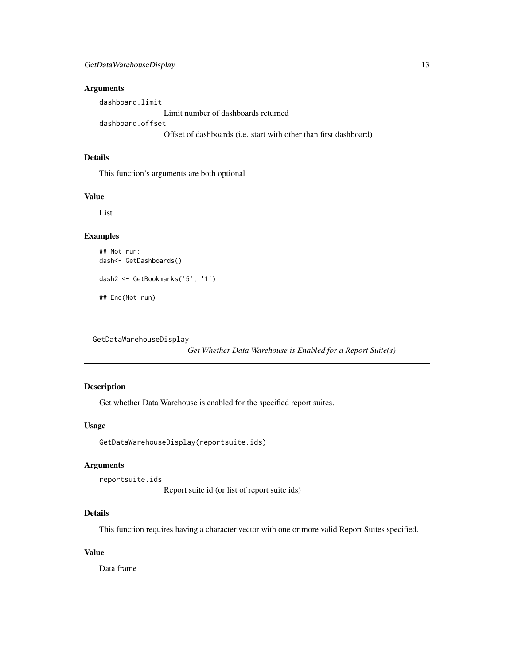## <span id="page-12-0"></span>Arguments

dashboard.limit Limit number of dashboards returned dashboard.offset Offset of dashboards (i.e. start with other than first dashboard)

# Details

This function's arguments are both optional

#### Value

List

## Examples

```
## Not run:
dash<- GetDashboards()
dash2 <- GetBookmarks('5', '1')
## End(Not run)
```
GetDataWarehouseDisplay

*Get Whether Data Warehouse is Enabled for a Report Suite(s)*

# Description

Get whether Data Warehouse is enabled for the specified report suites.

## Usage

GetDataWarehouseDisplay(reportsuite.ids)

#### Arguments

reportsuite.ids

Report suite id (or list of report suite ids)

## Details

This function requires having a character vector with one or more valid Report Suites specified.

# Value

Data frame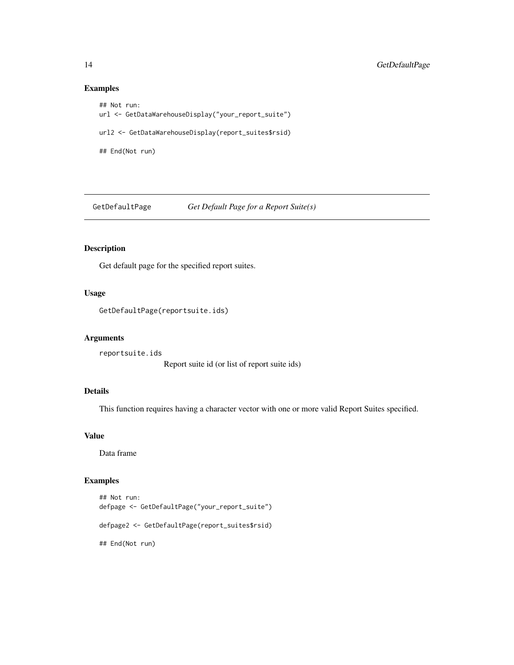## Examples

```
## Not run:
url <- GetDataWarehouseDisplay("your_report_suite")
url2 <- GetDataWarehouseDisplay(report_suites$rsid)
## End(Not run)
```
GetDefaultPage *Get Default Page for a Report Suite(s)*

## Description

Get default page for the specified report suites.

# Usage

GetDefaultPage(reportsuite.ids)

#### Arguments

reportsuite.ids Report suite id (or list of report suite ids)

## Details

This function requires having a character vector with one or more valid Report Suites specified.

## Value

Data frame

## Examples

```
## Not run:
defpage <- GetDefaultPage("your_report_suite")
defpage2 <- GetDefaultPage(report_suites$rsid)
## End(Not run)
```
<span id="page-13-0"></span>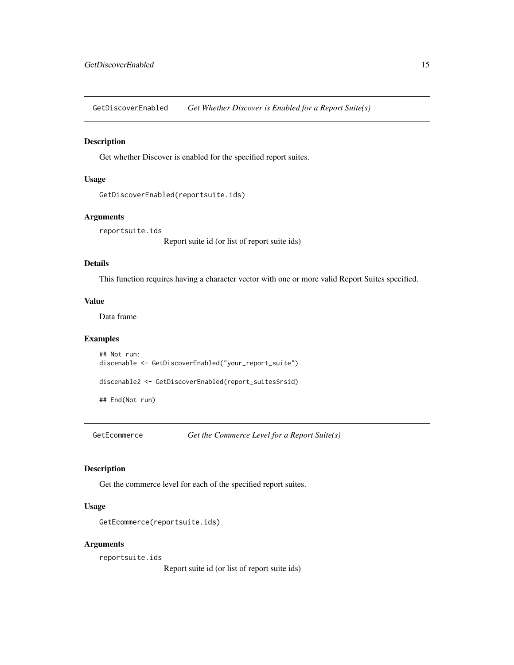<span id="page-14-0"></span>GetDiscoverEnabled *Get Whether Discover is Enabled for a Report Suite(s)*

#### Description

Get whether Discover is enabled for the specified report suites.

#### Usage

```
GetDiscoverEnabled(reportsuite.ids)
```
## Arguments

reportsuite.ids

Report suite id (or list of report suite ids)

## Details

This function requires having a character vector with one or more valid Report Suites specified.

#### Value

Data frame

## Examples

## Not run: discenable <- GetDiscoverEnabled("your\_report\_suite")

discenable2 <- GetDiscoverEnabled(report\_suites\$rsid)

## End(Not run)

GetEcommerce *Get the Commerce Level for a Report Suite(s)*

#### Description

Get the commerce level for each of the specified report suites.

#### Usage

```
GetEcommerce(reportsuite.ids)
```
#### Arguments

reportsuite.ids

Report suite id (or list of report suite ids)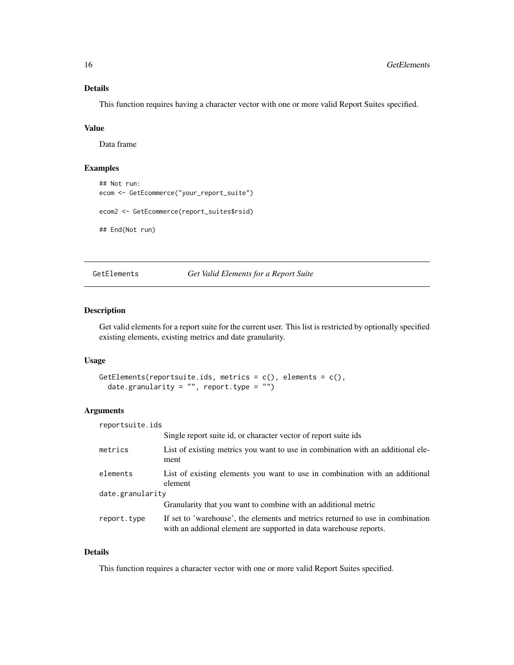## <span id="page-15-0"></span>Details

This function requires having a character vector with one or more valid Report Suites specified.

#### Value

Data frame

#### Examples

```
## Not run:
ecom <- GetEcommerce("your_report_suite")
ecom2 <- GetEcommerce(report_suites$rsid)
## End(Not run)
```
GetElements *Get Valid Elements for a Report Suite*

#### Description

Get valid elements for a report suite for the current user. This list is restricted by optionally specified existing elements, existing metrics and date granularity.

## Usage

```
GetElements(reportsuite.ids, metrics = c(), elements = c(),
  date.granularity = ", report.type = ")
```
## Arguments

| reportsuite.ids  |                                                                                                                                                     |  |
|------------------|-----------------------------------------------------------------------------------------------------------------------------------------------------|--|
|                  | Single report suite id, or character vector of report suite ids                                                                                     |  |
| metrics          | List of existing metrics you want to use in combination with an additional ele-<br>ment                                                             |  |
| elements         | List of existing elements you want to use in combination with an additional<br>element                                                              |  |
| date.granularity |                                                                                                                                                     |  |
|                  | Granularity that you want to combine with an additional metric                                                                                      |  |
| report.type      | If set to 'warehouse', the elements and metrics returned to use in combination<br>with an addional element are supported in data warehouse reports. |  |

#### Details

This function requires a character vector with one or more valid Report Suites specified.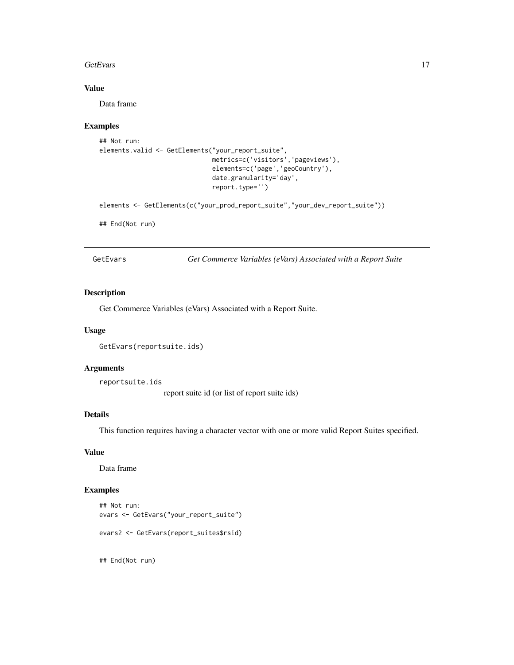#### <span id="page-16-0"></span>GetEvars 17

# Value

Data frame

## Examples

```
## Not run:
elements.valid <- GetElements("your_report_suite",
                              metrics=c('visitors','pageviews'),
                              elements=c('page','geoCountry'),
                              date.granularity='day',
                              report.type='')
```
elements <- GetElements(c("your\_prod\_report\_suite","your\_dev\_report\_suite"))

## End(Not run)

GetEvars *Get Commerce Variables (eVars) Associated with a Report Suite*

## Description

Get Commerce Variables (eVars) Associated with a Report Suite.

#### Usage

```
GetEvars(reportsuite.ids)
```
#### Arguments

reportsuite.ids

report suite id (or list of report suite ids)

## Details

This function requires having a character vector with one or more valid Report Suites specified.

#### Value

Data frame

## Examples

```
## Not run:
evars <- GetEvars("your_report_suite")
evars2 <- GetEvars(report_suites$rsid)
```
## End(Not run)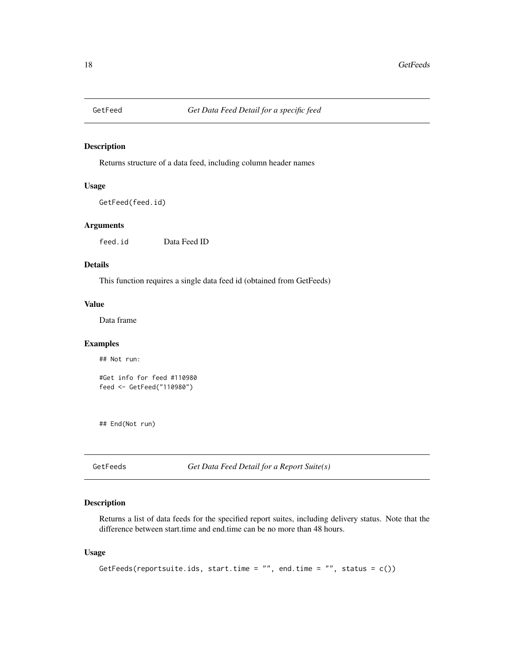<span id="page-17-0"></span>

#### Description

Returns structure of a data feed, including column header names

#### Usage

GetFeed(feed.id)

#### Arguments

feed.id Data Feed ID

# Details

This function requires a single data feed id (obtained from GetFeeds)

# Value

Data frame

## Examples

## Not run:

```
#Get info for feed #110980
feed <- GetFeed("110980")
```
## End(Not run)

GetFeeds *Get Data Feed Detail for a Report Suite(s)*

## Description

Returns a list of data feeds for the specified report suites, including delivery status. Note that the difference between start.time and end.time can be no more than 48 hours.

## Usage

```
GetFeeds(reportsuite.ids, start.time = "", end.time = "", status = c())
```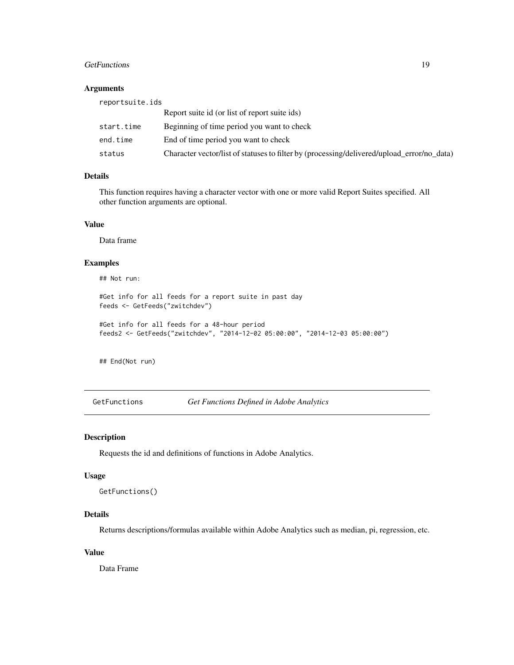#### <span id="page-18-0"></span>GetFunctions 19

## Arguments

| reportsuite.ids |                                                                                            |
|-----------------|--------------------------------------------------------------------------------------------|
|                 | Report suite id (or list of report suite ids)                                              |
| start.time      | Beginning of time period you want to check                                                 |
| end.time        | End of time period you want to check                                                       |
| status          | Character vector/list of statuses to filter by (processing/delivered/upload_error/no_data) |

# Details

This function requires having a character vector with one or more valid Report Suites specified. All other function arguments are optional.

## Value

Data frame

## Examples

## Not run:

```
#Get info for all feeds for a report suite in past day
feeds <- GetFeeds("zwitchdev")
```

```
#Get info for all feeds for a 48-hour period
feeds2 <- GetFeeds("zwitchdev", "2014-12-02 05:00:00", "2014-12-03 05:00:00")
```
## End(Not run)

GetFunctions *Get Functions Defined in Adobe Analytics*

#### Description

Requests the id and definitions of functions in Adobe Analytics.

#### Usage

```
GetFunctions()
```
## Details

Returns descriptions/formulas available within Adobe Analytics such as median, pi, regression, etc.

## Value

Data Frame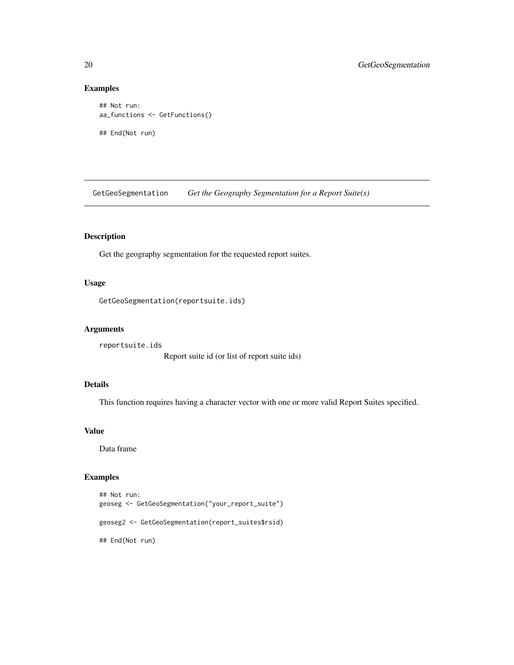## Examples

```
## Not run:
aa_functions <- GetFunctions()
## End(Not run)
```
GetGeoSegmentation *Get the Geography Segmentation for a Report Suite(s)*

# Description

Get the geography segmentation for the requested report suites.

## Usage

```
GetGeoSegmentation(reportsuite.ids)
```
#### Arguments

reportsuite.ids Report suite id (or list of report suite ids)

# Details

This function requires having a character vector with one or more valid Report Suites specified.

## Value

Data frame

## Examples

```
## Not run:
geoseg <- GetGeoSegmentation("your_report_suite")
geoseg2 <- GetGeoSegmentation(report_suites$rsid)
## End(Not run)
```
<span id="page-19-0"></span>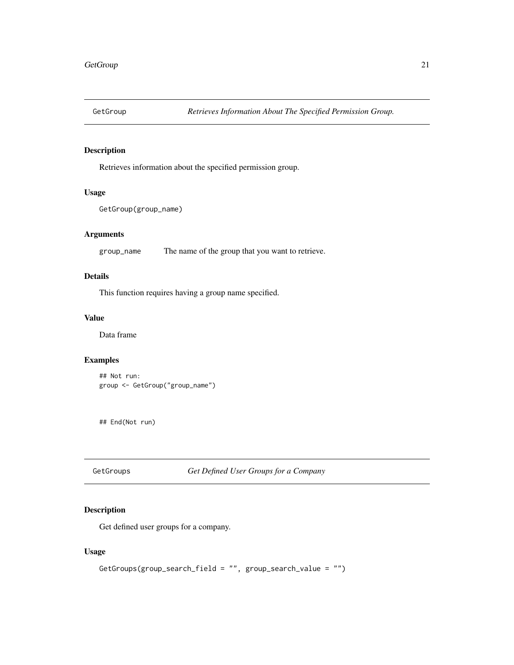<span id="page-20-0"></span>

# Description

Retrieves information about the specified permission group.

#### Usage

```
GetGroup(group_name)
```
# Arguments

group\_name The name of the group that you want to retrieve.

## Details

This function requires having a group name specified.

#### Value

Data frame

# Examples

```
## Not run:
group <- GetGroup("group_name")
```
## End(Not run)

GetGroups *Get Defined User Groups for a Company*

#### Description

Get defined user groups for a company.

#### Usage

```
GetGroups(group_search_field = "", group_search_value = "")
```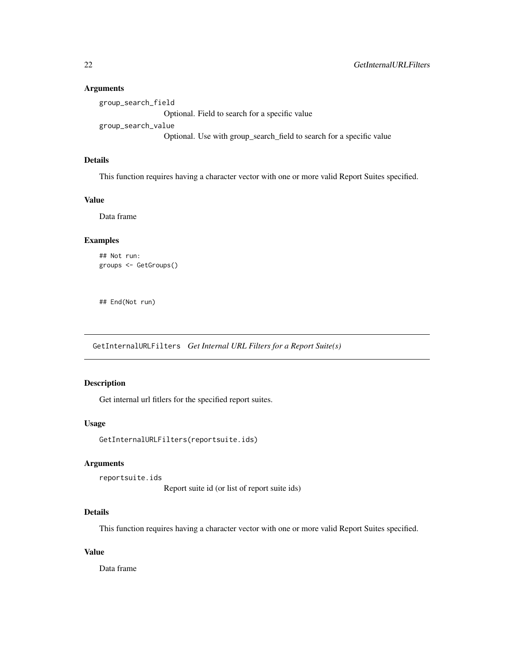#### <span id="page-21-0"></span>Arguments

group\_search\_field Optional. Field to search for a specific value group\_search\_value Optional. Use with group\_search\_field to search for a specific value

#### Details

This function requires having a character vector with one or more valid Report Suites specified.

#### Value

Data frame

## Examples

```
## Not run:
groups <- GetGroups()
```
## End(Not run)

GetInternalURLFilters *Get Internal URL Filters for a Report Suite(s)*

# Description

Get internal url fitlers for the specified report suites.

#### Usage

GetInternalURLFilters(reportsuite.ids)

#### Arguments

reportsuite.ids

Report suite id (or list of report suite ids)

#### Details

This function requires having a character vector with one or more valid Report Suites specified.

#### Value

Data frame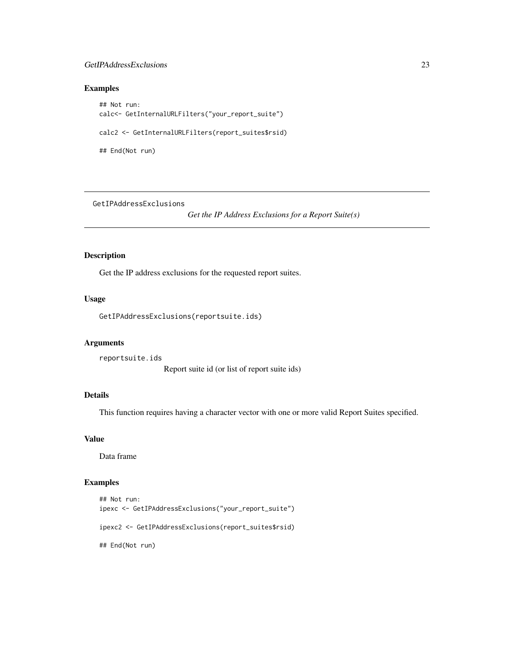#### <span id="page-22-0"></span>GetIPAddressExclusions 23

#### Examples

## Not run: calc<- GetInternalURLFilters("your\_report\_suite") calc2 <- GetInternalURLFilters(report\_suites\$rsid) ## End(Not run)

GetIPAddressExclusions

*Get the IP Address Exclusions for a Report Suite(s)*

## Description

Get the IP address exclusions for the requested report suites.

#### Usage

GetIPAddressExclusions(reportsuite.ids)

#### Arguments

reportsuite.ids Report suite id (or list of report suite ids)

# Details

This function requires having a character vector with one or more valid Report Suites specified.

#### Value

Data frame

#### Examples

```
## Not run:
ipexc <- GetIPAddressExclusions("your_report_suite")
ipexc2 <- GetIPAddressExclusions(report_suites$rsid)
## End(Not run)
```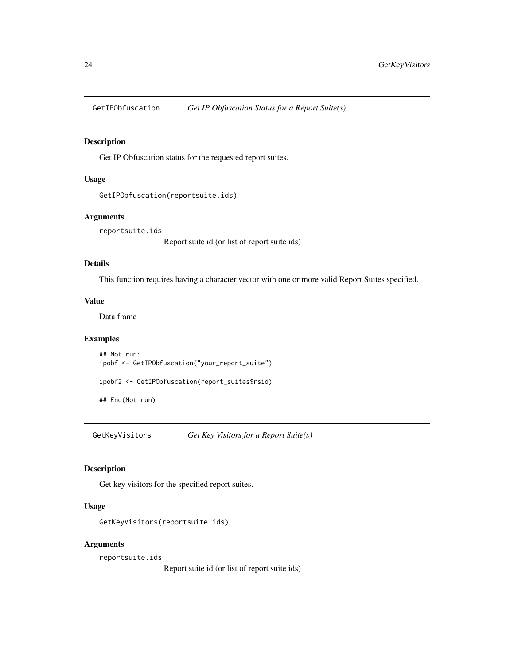<span id="page-23-0"></span>

#### Description

Get IP Obfuscation status for the requested report suites.

## Usage

```
GetIPObfuscation(reportsuite.ids)
```
## Arguments

reportsuite.ids

Report suite id (or list of report suite ids)

#### Details

This function requires having a character vector with one or more valid Report Suites specified.

#### Value

Data frame

## Examples

## Not run: ipobf <- GetIPObfuscation("your\_report\_suite")

ipobf2 <- GetIPObfuscation(report\_suites\$rsid)

## End(Not run)

GetKeyVisitors *Get Key Visitors for a Report Suite(s)*

#### Description

Get key visitors for the specified report suites.

#### Usage

```
GetKeyVisitors(reportsuite.ids)
```
#### Arguments

reportsuite.ids

Report suite id (or list of report suite ids)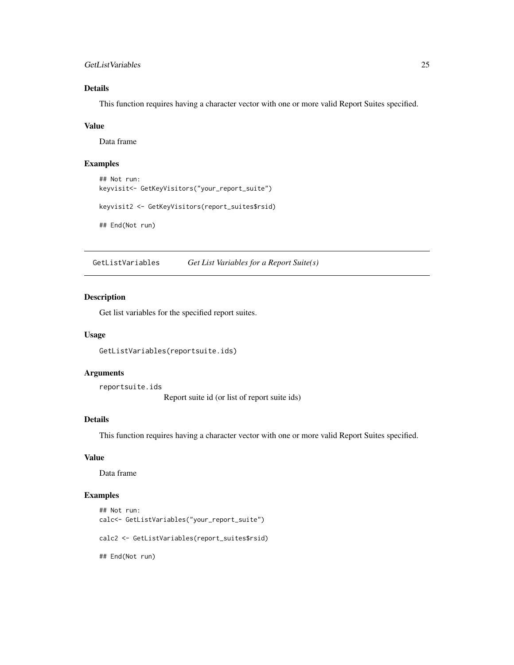#### <span id="page-24-0"></span>GetListVariables 25

# Details

This function requires having a character vector with one or more valid Report Suites specified.

#### Value

Data frame

# Examples

```
## Not run:
keyvisit<- GetKeyVisitors("your_report_suite")
```

```
keyvisit2 <- GetKeyVisitors(report_suites$rsid)
```
## End(Not run)

GetListVariables *Get List Variables for a Report Suite(s)*

#### Description

Get list variables for the specified report suites.

#### Usage

GetListVariables(reportsuite.ids)

#### Arguments

reportsuite.ids

Report suite id (or list of report suite ids)

## Details

This function requires having a character vector with one or more valid Report Suites specified.

# Value

Data frame

#### Examples

```
## Not run:
calc<- GetListVariables("your_report_suite")
```
calc2 <- GetListVariables(report\_suites\$rsid)

## End(Not run)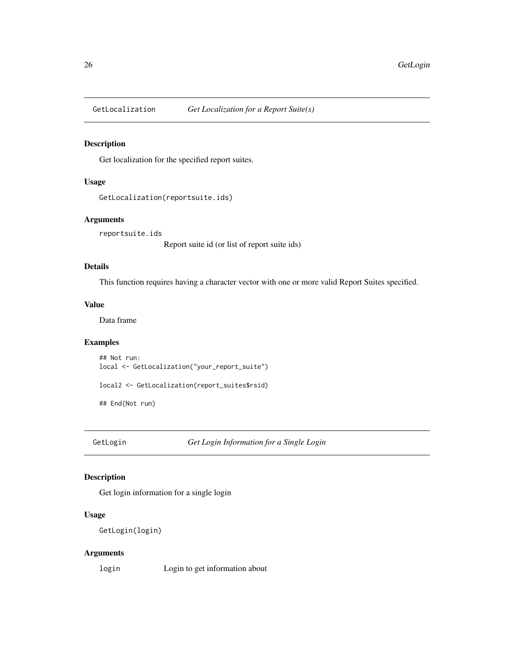<span id="page-25-0"></span>

## Description

Get localization for the specified report suites.

#### Usage

```
GetLocalization(reportsuite.ids)
```
## Arguments

reportsuite.ids

Report suite id (or list of report suite ids)

## Details

This function requires having a character vector with one or more valid Report Suites specified.

# Value

Data frame

# Examples

```
## Not run:
local <- GetLocalization("your_report_suite")
```
local2 <- GetLocalization(report\_suites\$rsid)

## End(Not run)

GetLogin *Get Login Information for a Single Login*

## Description

Get login information for a single login

#### Usage

```
GetLogin(login)
```
## Arguments

login Login to get information about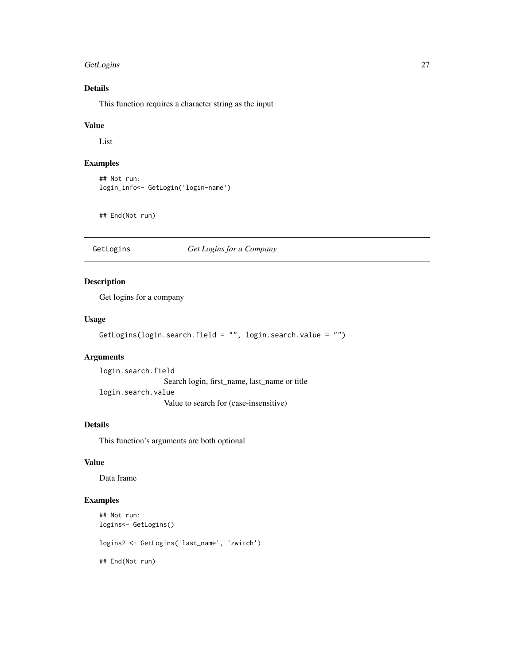## <span id="page-26-0"></span>GetLogins 27

# Details

This function requires a character string as the input

#### Value

List

# Examples

```
## Not run:
login_info<- GetLogin('login-name')
```
## End(Not run)

# GetLogins *Get Logins for a Company*

## Description

Get logins for a company

## Usage

```
GetLogins(login.search.field = "", login.search.value = "")
```
## Arguments

login.search.field Search login, first\_name, last\_name or title login.search.value Value to search for (case-insensitive)

# Details

This function's arguments are both optional

# Value

Data frame

## Examples

```
## Not run:
logins<- GetLogins()
logins2 <- GetLogins('last_name', 'zwitch')
## End(Not run)
```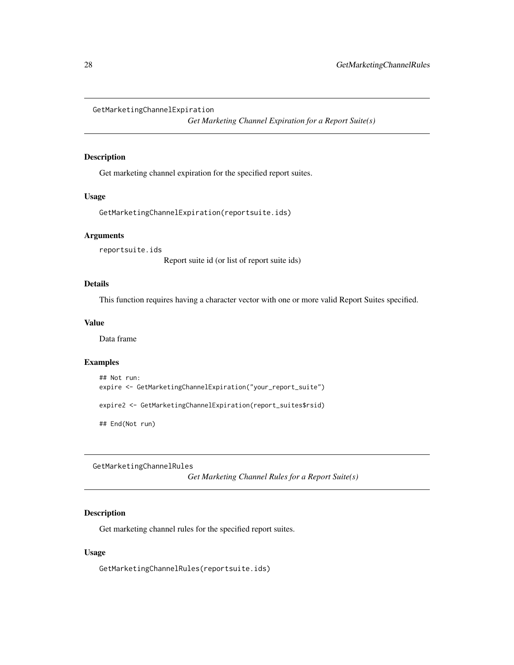<span id="page-27-0"></span>GetMarketingChannelExpiration

*Get Marketing Channel Expiration for a Report Suite(s)*

## Description

Get marketing channel expiration for the specified report suites.

#### Usage

GetMarketingChannelExpiration(reportsuite.ids)

## Arguments

reportsuite.ids Report suite id (or list of report suite ids)

#### Details

This function requires having a character vector with one or more valid Report Suites specified.

#### Value

Data frame

## Examples

```
## Not run:
expire <- GetMarketingChannelExpiration("your_report_suite")
expire2 <- GetMarketingChannelExpiration(report_suites$rsid)
## End(Not run)
```
GetMarketingChannelRules

*Get Marketing Channel Rules for a Report Suite(s)*

# Description

Get marketing channel rules for the specified report suites.

#### Usage

GetMarketingChannelRules(reportsuite.ids)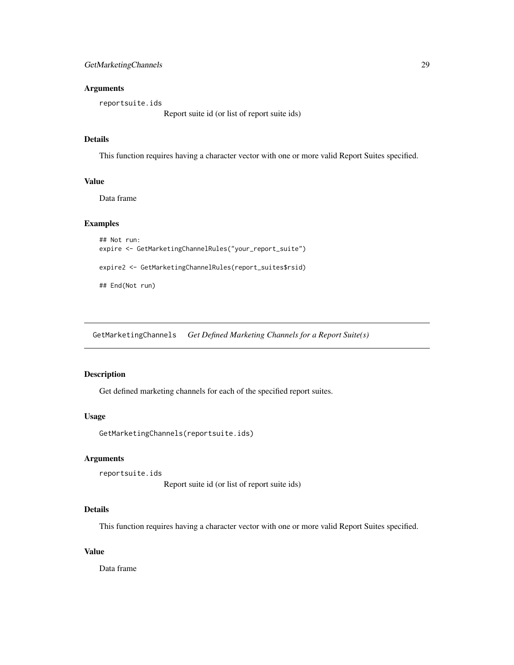## <span id="page-28-0"></span>Arguments

reportsuite.ids

Report suite id (or list of report suite ids)

# Details

This function requires having a character vector with one or more valid Report Suites specified.

#### Value

Data frame

#### Examples

```
## Not run:
expire <- GetMarketingChannelRules("your_report_suite")
expire2 <- GetMarketingChannelRules(report_suites$rsid)
## End(Not run)
```
GetMarketingChannels *Get Defined Marketing Channels for a Report Suite(s)*

# Description

Get defined marketing channels for each of the specified report suites.

#### Usage

```
GetMarketingChannels(reportsuite.ids)
```
## Arguments

```
reportsuite.ids
                   Report suite id (or list of report suite ids)
```
#### Details

This function requires having a character vector with one or more valid Report Suites specified.

## Value

Data frame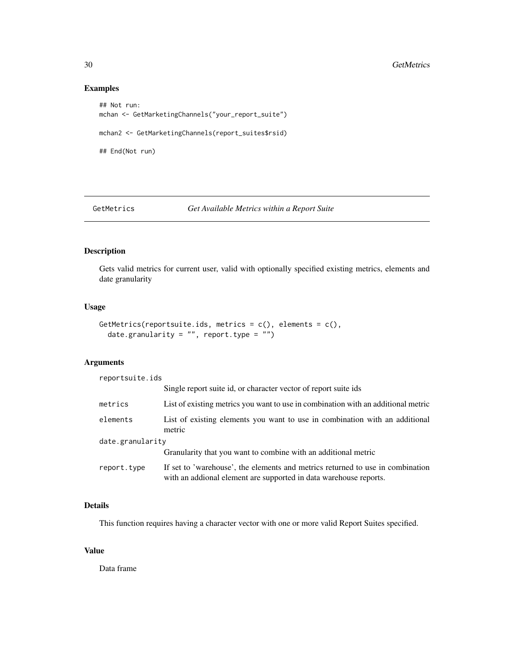## Examples

```
## Not run:
mchan <- GetMarketingChannels("your_report_suite")
mchan2 <- GetMarketingChannels(report_suites$rsid)
## End(Not run)
```
GetMetrics *Get Available Metrics within a Report Suite*

## Description

Gets valid metrics for current user, valid with optionally specified existing metrics, elements and date granularity

## Usage

```
GetMetrics(reportsuite.ids, metrics = c(), elements = c(),
  date.granularity = ", report.type = ")
```
## Arguments

reportsuite.ids

|                  | Single report suite id, or character vector of report suite ids                                                                                     |  |
|------------------|-----------------------------------------------------------------------------------------------------------------------------------------------------|--|
| metrics          | List of existing metrics you want to use in combination with an additional metric                                                                   |  |
| elements         | List of existing elements you want to use in combination with an additional<br>metric                                                               |  |
| date.granularity |                                                                                                                                                     |  |
|                  | Granularity that you want to combine with an additional metric                                                                                      |  |
| report.type      | If set to 'warehouse', the elements and metrics returned to use in combination<br>with an addional element are supported in data warehouse reports. |  |

## Details

This function requires having a character vector with one or more valid Report Suites specified.

# Value

Data frame

<span id="page-29-0"></span>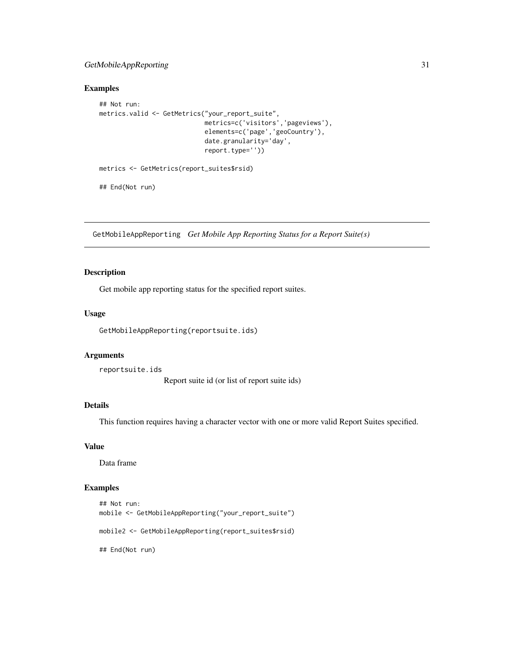## <span id="page-30-0"></span>GetMobileAppReporting 31

#### Examples

```
## Not run:
metrics.valid <- GetMetrics("your_report_suite",
                            metrics=c('visitors','pageviews'),
                            elements=c('page','geoCountry'),
                            date.granularity='day',
                            report.type=''))
metrics <- GetMetrics(report_suites$rsid)
## End(Not run)
```
GetMobileAppReporting *Get Mobile App Reporting Status for a Report Suite(s)*

## Description

Get mobile app reporting status for the specified report suites.

#### Usage

GetMobileAppReporting(reportsuite.ids)

## Arguments

reportsuite.ids

Report suite id (or list of report suite ids)

#### Details

This function requires having a character vector with one or more valid Report Suites specified.

#### Value

Data frame

#### Examples

```
## Not run:
mobile <- GetMobileAppReporting("your_report_suite")
mobile2 <- GetMobileAppReporting(report_suites$rsid)
## End(Not run)
```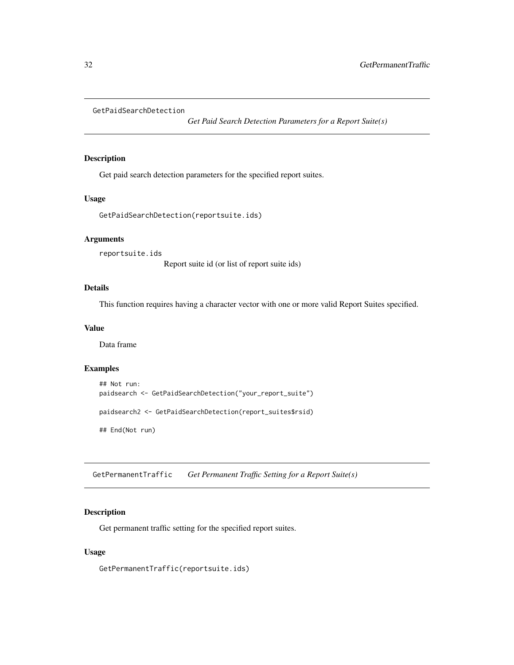```
GetPaidSearchDetection
```
*Get Paid Search Detection Parameters for a Report Suite(s)*

## Description

Get paid search detection parameters for the specified report suites.

## Usage

```
GetPaidSearchDetection(reportsuite.ids)
```
#### Arguments

reportsuite.ids

Report suite id (or list of report suite ids)

## Details

This function requires having a character vector with one or more valid Report Suites specified.

#### Value

Data frame

#### Examples

```
## Not run:
paidsearch <- GetPaidSearchDetection("your_report_suite")
paidsearch2 <- GetPaidSearchDetection(report_suites$rsid)
## End(Not run)
```
GetPermanentTraffic *Get Permanent Traffic Setting for a Report Suite(s)*

#### Description

Get permanent traffic setting for the specified report suites.

#### Usage

GetPermanentTraffic(reportsuite.ids)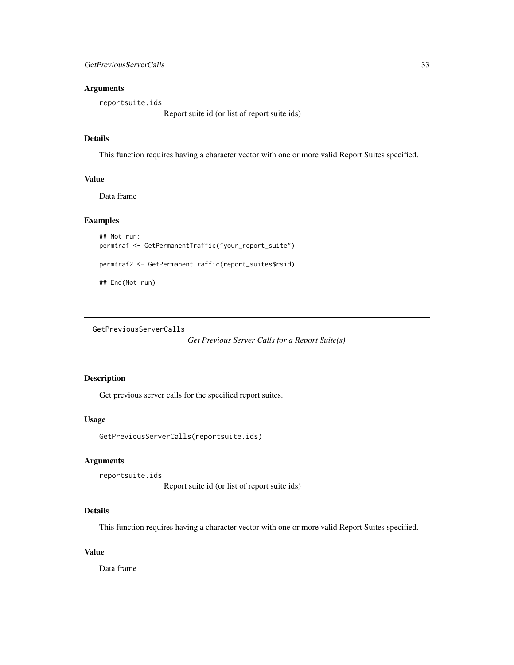## <span id="page-32-0"></span>Arguments

reportsuite.ids

Report suite id (or list of report suite ids)

# Details

This function requires having a character vector with one or more valid Report Suites specified.

## Value

Data frame

# Examples

```
## Not run:
permtraf <- GetPermanentTraffic("your_report_suite")
```
permtraf2 <- GetPermanentTraffic(report\_suites\$rsid)

## End(Not run)

GetPreviousServerCalls

*Get Previous Server Calls for a Report Suite(s)*

## Description

Get previous server calls for the specified report suites.

## Usage

```
GetPreviousServerCalls(reportsuite.ids)
```
#### Arguments

```
reportsuite.ids
```
Report suite id (or list of report suite ids)

## Details

This function requires having a character vector with one or more valid Report Suites specified.

# Value

Data frame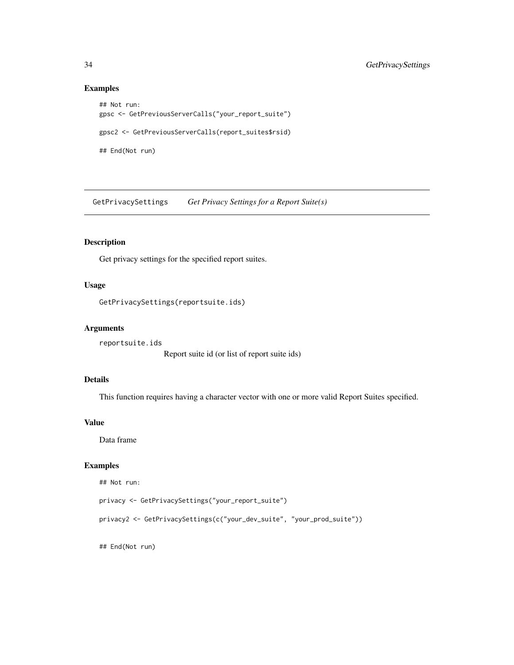## Examples

```
## Not run:
gpsc <- GetPreviousServerCalls("your_report_suite")
gpsc2 <- GetPreviousServerCalls(report_suites$rsid)
## End(Not run)
```
GetPrivacySettings *Get Privacy Settings for a Report Suite(s)*

# Description

Get privacy settings for the specified report suites.

#### Usage

```
GetPrivacySettings(reportsuite.ids)
```
#### Arguments

reportsuite.ids

Report suite id (or list of report suite ids)

# Details

This function requires having a character vector with one or more valid Report Suites specified.

#### Value

Data frame

## Examples

```
## Not run:
```

```
privacy <- GetPrivacySettings("your_report_suite")
```

```
privacy2 <- GetPrivacySettings(c("your_dev_suite", "your_prod_suite"))
```
## End(Not run)

<span id="page-33-0"></span>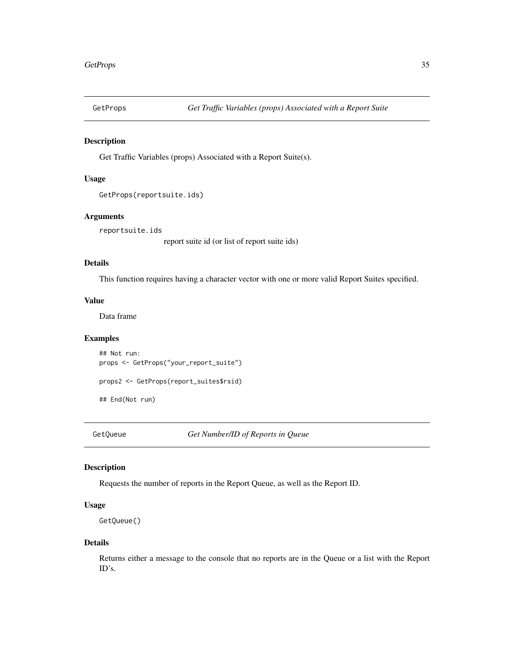<span id="page-34-0"></span>

#### Description

Get Traffic Variables (props) Associated with a Report Suite(s).

## Usage

```
GetProps(reportsuite.ids)
```
## Arguments

reportsuite.ids

report suite id (or list of report suite ids)

# Details

This function requires having a character vector with one or more valid Report Suites specified.

# Value

Data frame

#### Examples

## Not run: props <- GetProps("your\_report\_suite") props2 <- GetProps(report\_suites\$rsid)

## End(Not run)

GetQueue *Get Number/ID of Reports in Queue*

#### Description

Requests the number of reports in the Report Queue, as well as the Report ID.

#### Usage

```
GetQueue()
```
#### Details

Returns either a message to the console that no reports are in the Queue or a list with the Report ID's.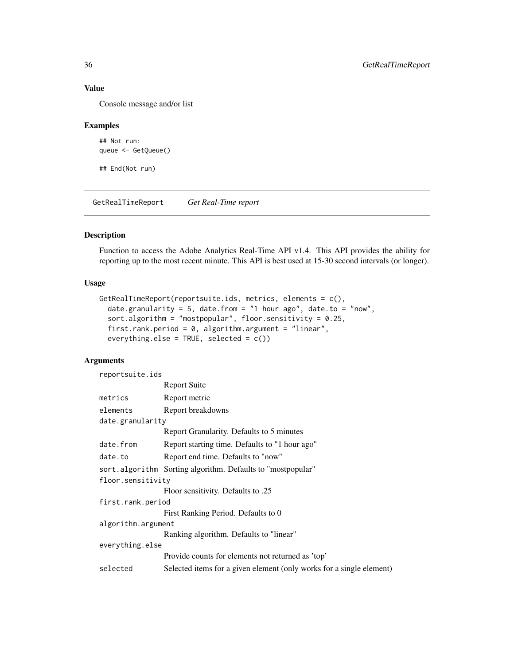# Value

Console message and/or list

## Examples

```
## Not run:
queue <- GetQueue()
```
## End(Not run)

GetRealTimeReport *Get Real-Time report*

## Description

Function to access the Adobe Analytics Real-Time API v1.4. This API provides the ability for reporting up to the most recent minute. This API is best used at 15-30 second intervals (or longer).

## Usage

```
GetRealTimeReport(reportsuite.ids, metrics, elements = c(),
  date.granularity = 5, date.from = "1 hour ago", date.to = "now",sort.algorithm = "mostpopular", floor.sensitivity = 0.25,
  first.rank.period = 0, algorithm.argument = "linear",
 everything.else = TRUE, selected = c()
```
# Arguments

| reportsuite.ids    |                                                                      |  |
|--------------------|----------------------------------------------------------------------|--|
|                    | Report Suite                                                         |  |
| metrics            | Report metric                                                        |  |
| elements           | Report breakdowns                                                    |  |
| date.granularity   |                                                                      |  |
|                    | Report Granularity. Defaults to 5 minutes                            |  |
| date.from          | Report starting time. Defaults to "1 hour ago"                       |  |
| date.to            | Report end time. Defaults to "now"                                   |  |
|                    | sort.algorithm Sorting algorithm. Defaults to "mostpopular"          |  |
| floor.sensitivity  |                                                                      |  |
|                    | Eloor sensitivity. Defaults to .25                                   |  |
| first.rank.period  |                                                                      |  |
|                    | First Ranking Period. Defaults to 0                                  |  |
| algorithm.argument |                                                                      |  |
|                    | Ranking algorithm. Defaults to "linear"                              |  |
| everything.else    |                                                                      |  |
|                    | Provide counts for elements not returned as 'top'                    |  |
| selected           | Selected items for a given element (only works for a single element) |  |

<span id="page-35-0"></span>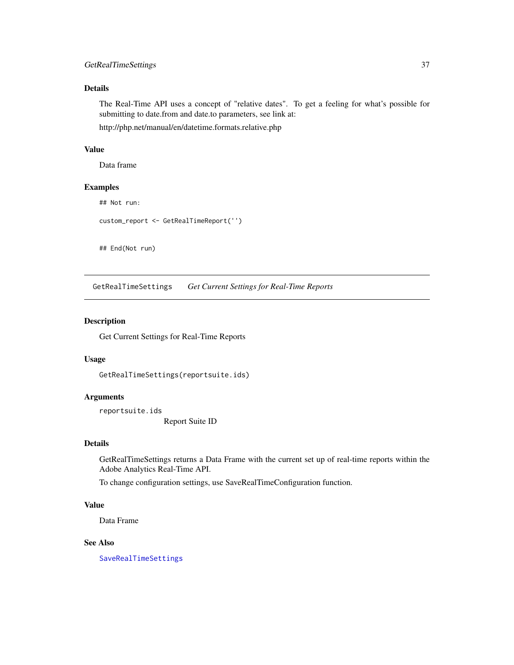## <span id="page-36-0"></span>GetRealTimeSettings 37

# Details

The Real-Time API uses a concept of "relative dates". To get a feeling for what's possible for submitting to date.from and date.to parameters, see link at:

http://php.net/manual/en/datetime.formats.relative.php

# Value

Data frame

## Examples

## Not run:

custom\_report <- GetRealTimeReport('')

## End(Not run)

<span id="page-36-1"></span>GetRealTimeSettings *Get Current Settings for Real-Time Reports*

#### Description

Get Current Settings for Real-Time Reports

#### Usage

GetRealTimeSettings(reportsuite.ids)

# Arguments

reportsuite.ids

Report Suite ID

#### Details

GetRealTimeSettings returns a Data Frame with the current set up of real-time reports within the Adobe Analytics Real-Time API.

To change configuration settings, use SaveRealTimeConfiguration function.

#### Value

Data Frame

#### See Also

[SaveRealTimeSettings](#page-63-1)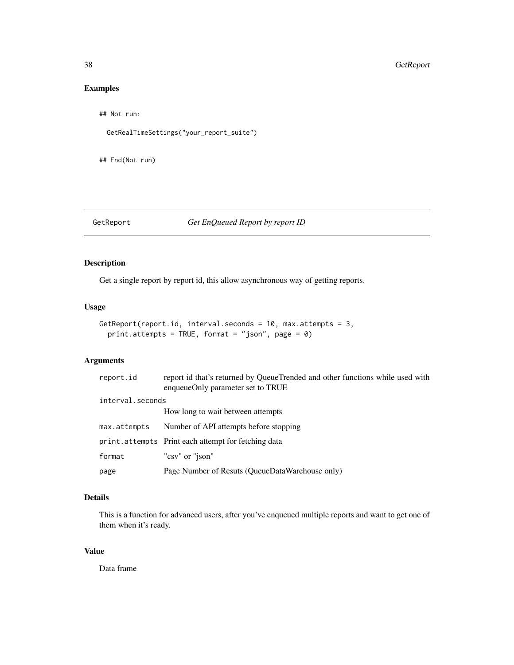# <span id="page-37-0"></span>Examples

```
## Not run:
```

```
GetRealTimeSettings("your_report_suite")
```
## End(Not run)

# GetReport *Get EnQueued Report by report ID*

# Description

Get a single report by report id, this allow asynchronous way of getting reports.

## Usage

```
GetReport(report.id, interval.seconds = 10, max.attempts = 3,
  print.attempts = TRUE, format = "json", page = \theta)
```
# Arguments

| report.id        | report id that's returned by QueueTrended and other functions while used with<br>enqueueOnly parameter set to TRUE |
|------------------|--------------------------------------------------------------------------------------------------------------------|
| interval.seconds |                                                                                                                    |
|                  | How long to wait between attempts                                                                                  |
| max.attempts     | Number of API attempts before stopping                                                                             |
|                  | print.attempts Print each attempt for fetching data                                                                |
| format           | "csv" or "json"                                                                                                    |
| page             | Page Number of Resuts (QueueDataWarehouse only)                                                                    |

# Details

This is a function for advanced users, after you've enqueued multiple reports and want to get one of them when it's ready.

# Value

Data frame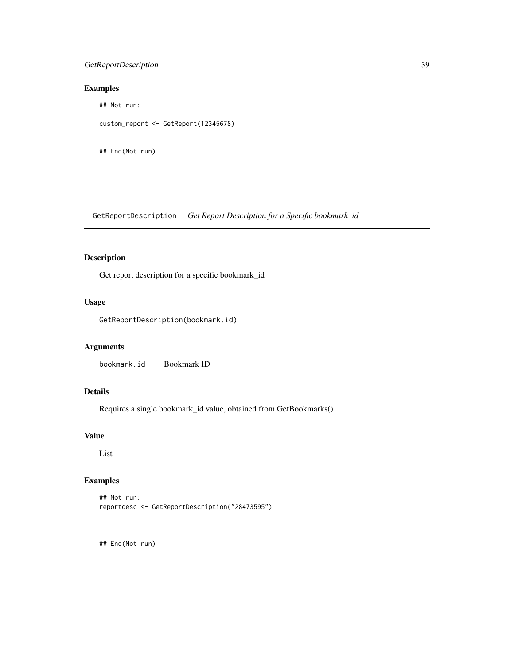## <span id="page-38-0"></span>GetReportDescription 39

# Examples

## Not run:

custom\_report <- GetReport(12345678)

## End(Not run)

GetReportDescription *Get Report Description for a Specific bookmark\_id*

# Description

Get report description for a specific bookmark\_id

## Usage

GetReportDescription(bookmark.id)

# Arguments

bookmark.id Bookmark ID

# Details

Requires a single bookmark\_id value, obtained from GetBookmarks()

#### Value

List

## Examples

```
## Not run:
reportdesc <- GetReportDescription("28473595")
```
## End(Not run)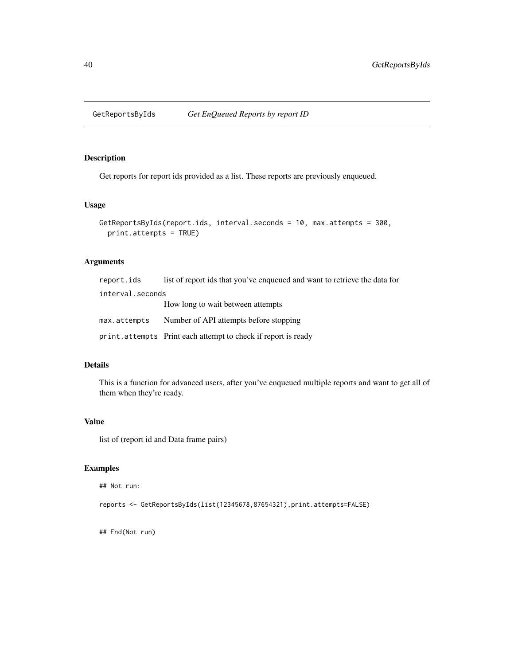<span id="page-39-0"></span>

#### Description

Get reports for report ids provided as a list. These reports are previously enqueued.

## Usage

```
GetReportsByIds(report.ids, interval.seconds = 10, max.attempts = 300,
 print.attempts = TRUE)
```
## Arguments

| report.ids       | list of report ids that you've enqueued and want to retrieve the data for |
|------------------|---------------------------------------------------------------------------|
| interval.seconds |                                                                           |
|                  | How long to wait between attempts                                         |
| max.attempts     | Number of API attempts before stopping                                    |
|                  | print. attempts Print each attempt to check if report is ready            |

# Details

This is a function for advanced users, after you've enqueued multiple reports and want to get all of them when they're ready.

#### Value

list of (report id and Data frame pairs)

## Examples

```
## Not run:
```
reports <- GetReportsByIds(list(12345678,87654321),print.attempts=FALSE)

## End(Not run)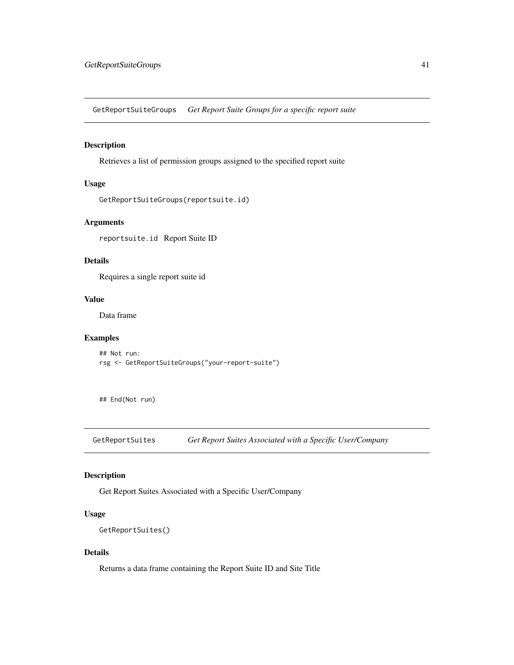<span id="page-40-0"></span>GetReportSuiteGroups *Get Report Suite Groups for a specific report suite*

## Description

Retrieves a list of permission groups assigned to the specified report suite

# Usage

```
GetReportSuiteGroups(reportsuite.id)
```
# Arguments

reportsuite.id Report Suite ID

## Details

Requires a single report suite id

## Value

Data frame

#### Examples

## Not run: rsg <- GetReportSuiteGroups("your-report-suite")

## End(Not run)

GetReportSuites *Get Report Suites Associated with a Specific User/Company*

# Description

Get Report Suites Associated with a Specific User/Company

#### Usage

```
GetReportSuites()
```
## Details

Returns a data frame containing the Report Suite ID and Site Title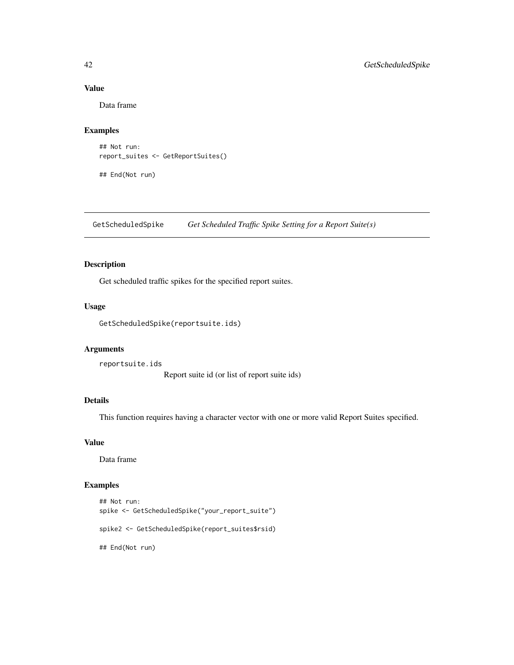## Value

Data frame

## Examples

```
## Not run:
report_suites <- GetReportSuites()
```
## End(Not run)

GetScheduledSpike *Get Scheduled Traffic Spike Setting for a Report Suite(s)*

## Description

Get scheduled traffic spikes for the specified report suites.

## Usage

```
GetScheduledSpike(reportsuite.ids)
```
#### Arguments

```
reportsuite.ids
                   Report suite id (or list of report suite ids)
```
## Details

This function requires having a character vector with one or more valid Report Suites specified.

#### Value

Data frame

## Examples

```
## Not run:
spike <- GetScheduledSpike("your_report_suite")
spike2 <- GetScheduledSpike(report_suites$rsid)
## End(Not run)
```
<span id="page-41-0"></span>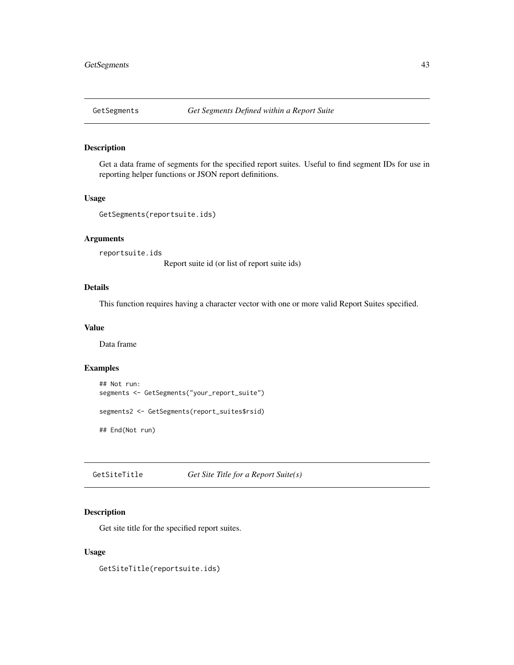<span id="page-42-0"></span>

## Description

Get a data frame of segments for the specified report suites. Useful to find segment IDs for use in reporting helper functions or JSON report definitions.

## Usage

```
GetSegments(reportsuite.ids)
```
## Arguments

reportsuite.ids

Report suite id (or list of report suite ids)

# Details

This function requires having a character vector with one or more valid Report Suites specified.

#### Value

Data frame

#### Examples

```
## Not run:
segments <- GetSegments("your_report_suite")
segments2 <- GetSegments(report_suites$rsid)
## End(Not run)
```
GetSiteTitle *Get Site Title for a Report Suite(s)*

#### Description

Get site title for the specified report suites.

#### Usage

GetSiteTitle(reportsuite.ids)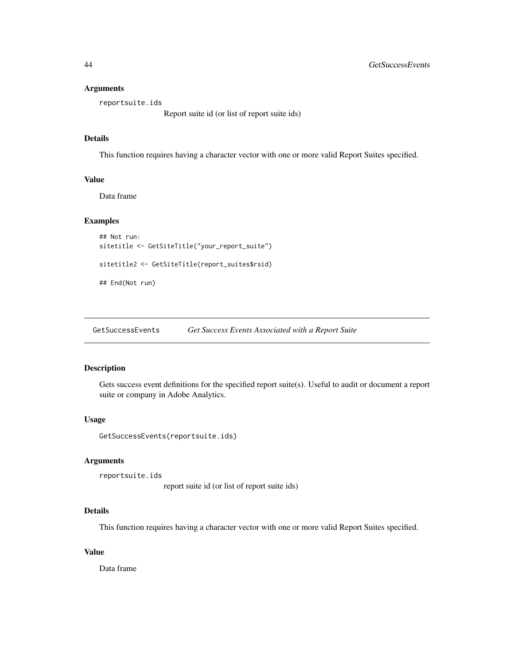#### <span id="page-43-0"></span>Arguments

reportsuite.ids

Report suite id (or list of report suite ids)

# Details

This function requires having a character vector with one or more valid Report Suites specified.

#### Value

Data frame

## Examples

```
## Not run:
sitetitle <- GetSiteTitle("your_report_suite")
```

```
sitetitle2 <- GetSiteTitle(report_suites$rsid)
```

```
## End(Not run)
```
GetSuccessEvents *Get Success Events Associated with a Report Suite*

#### Description

Gets success event definitions for the specified report suite(s). Useful to audit or document a report suite or company in Adobe Analytics.

#### Usage

```
GetSuccessEvents(reportsuite.ids)
```
#### Arguments

```
reportsuite.ids
```
report suite id (or list of report suite ids)

#### Details

This function requires having a character vector with one or more valid Report Suites specified.

#### Value

Data frame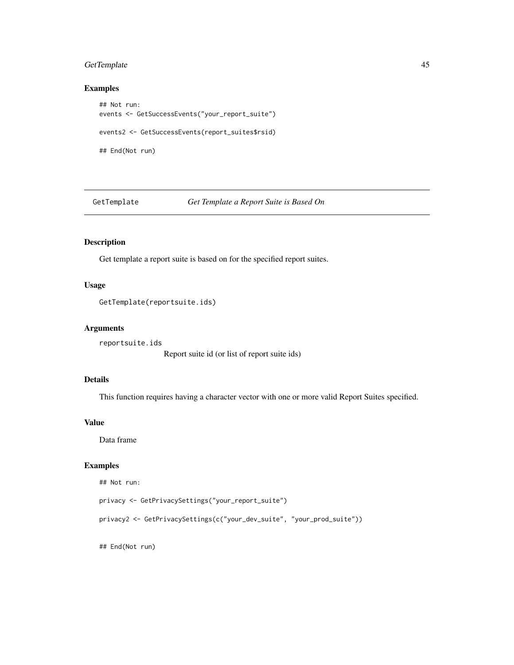## <span id="page-44-0"></span>GetTemplate 45

## Examples

```
## Not run:
events <- GetSuccessEvents("your_report_suite")
events2 <- GetSuccessEvents(report_suites$rsid)
## End(Not run)
```
GetTemplate *Get Template a Report Suite is Based On*

# Description

Get template a report suite is based on for the specified report suites.

#### Usage

```
GetTemplate(reportsuite.ids)
```
## Arguments

reportsuite.ids

Report suite id (or list of report suite ids)

# Details

This function requires having a character vector with one or more valid Report Suites specified.

#### Value

Data frame

## Examples

```
## Not run:
```

```
privacy <- GetPrivacySettings("your_report_suite")
```

```
privacy2 <- GetPrivacySettings(c("your_dev_suite", "your_prod_suite"))
```
## End(Not run)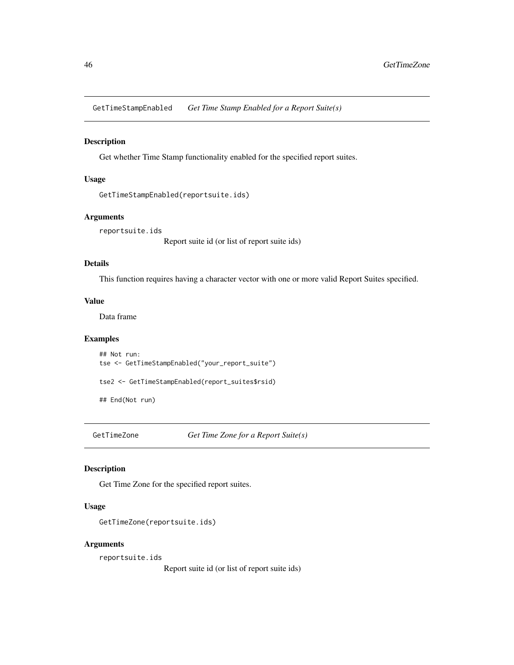<span id="page-45-0"></span>GetTimeStampEnabled *Get Time Stamp Enabled for a Report Suite(s)*

#### Description

Get whether Time Stamp functionality enabled for the specified report suites.

## Usage

```
GetTimeStampEnabled(reportsuite.ids)
```
## Arguments

reportsuite.ids

Report suite id (or list of report suite ids)

#### Details

This function requires having a character vector with one or more valid Report Suites specified.

#### Value

Data frame

#### Examples

## Not run: tse <- GetTimeStampEnabled("your\_report\_suite")

tse2 <- GetTimeStampEnabled(report\_suites\$rsid)

## End(Not run)

GetTimeZone *Get Time Zone for a Report Suite(s)*

#### Description

Get Time Zone for the specified report suites.

#### Usage

```
GetTimeZone(reportsuite.ids)
```
#### Arguments

reportsuite.ids

Report suite id (or list of report suite ids)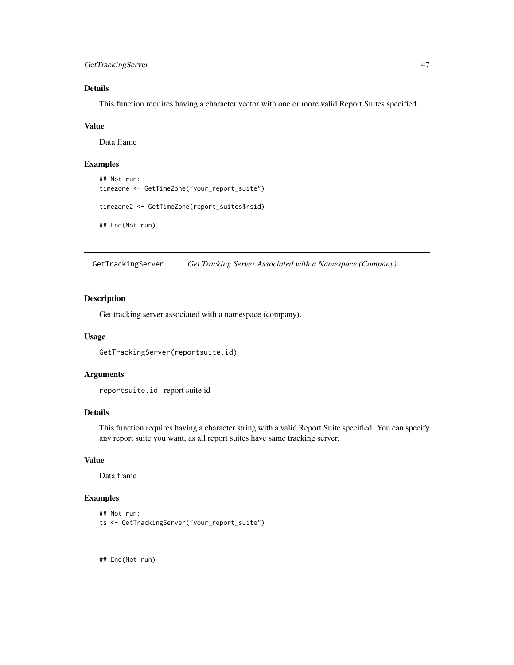## <span id="page-46-0"></span>GetTrackingServer 47

# Details

This function requires having a character vector with one or more valid Report Suites specified.

#### Value

Data frame

# Examples

```
## Not run:
timezone <- GetTimeZone("your_report_suite")
timezone2 <- GetTimeZone(report_suites$rsid)
```
## End(Not run)

GetTrackingServer *Get Tracking Server Associated with a Namespace (Company)*

#### Description

Get tracking server associated with a namespace (company).

#### Usage

```
GetTrackingServer(reportsuite.id)
```
# Arguments

reportsuite.id report suite id

#### Details

This function requires having a character string with a valid Report Suite specified. You can specify any report suite you want, as all report suites have same tracking server.

## Value

Data frame

# Examples

```
## Not run:
ts <- GetTrackingServer("your_report_suite")
```
## End(Not run)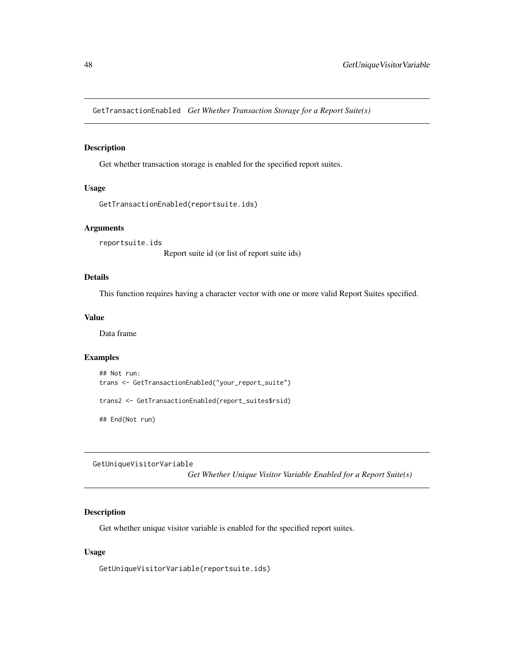<span id="page-47-0"></span>GetTransactionEnabled *Get Whether Transaction Storage for a Report Suite(s)*

## Description

Get whether transaction storage is enabled for the specified report suites.

#### Usage

```
GetTransactionEnabled(reportsuite.ids)
```
#### Arguments

reportsuite.ids

Report suite id (or list of report suite ids)

## Details

This function requires having a character vector with one or more valid Report Suites specified.

#### Value

Data frame

## Examples

## Not run: trans <- GetTransactionEnabled("your\_report\_suite")

trans2 <- GetTransactionEnabled(report\_suites\$rsid)

## End(Not run)

GetUniqueVisitorVariable

*Get Whether Unique Visitor Variable Enabled for a Report Suite(s)*

## Description

Get whether unique visitor variable is enabled for the specified report suites.

#### Usage

GetUniqueVisitorVariable(reportsuite.ids)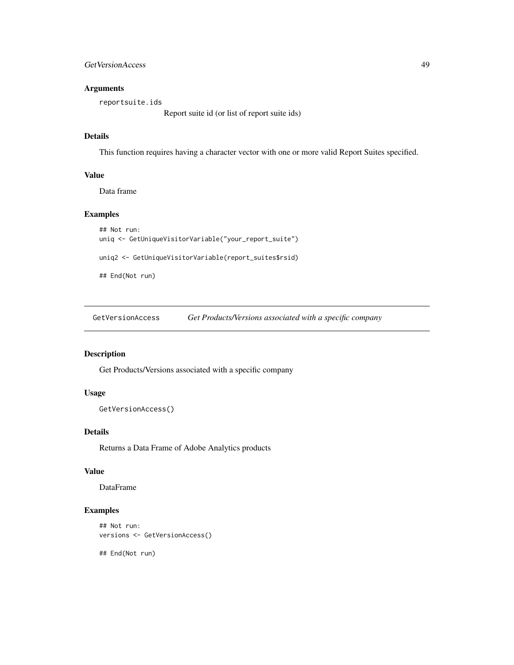<span id="page-48-0"></span>GetVersionAccess 49

## Arguments

reportsuite.ids

Report suite id (or list of report suite ids)

## Details

This function requires having a character vector with one or more valid Report Suites specified.

## Value

Data frame

## Examples

```
## Not run:
uniq <- GetUniqueVisitorVariable("your_report_suite")
```
uniq2 <- GetUniqueVisitorVariable(report\_suites\$rsid)

## End(Not run)

GetVersionAccess *Get Products/Versions associated with a specific company*

# Description

Get Products/Versions associated with a specific company

# Usage

```
GetVersionAccess()
```
## Details

Returns a Data Frame of Adobe Analytics products

## Value

DataFrame

## Examples

```
## Not run:
versions <- GetVersionAccess()
```
## End(Not run)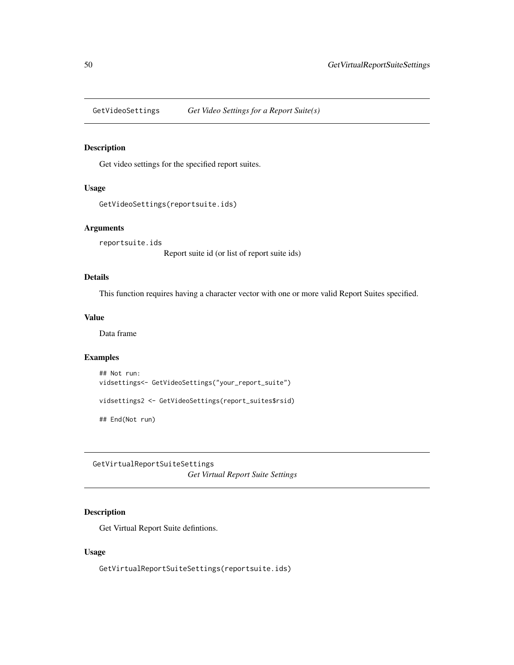<span id="page-49-0"></span>GetVideoSettings *Get Video Settings for a Report Suite(s)*

# Description

Get video settings for the specified report suites.

#### Usage

```
GetVideoSettings(reportsuite.ids)
```
#### Arguments

reportsuite.ids

Report suite id (or list of report suite ids)

## Details

This function requires having a character vector with one or more valid Report Suites specified.

## Value

Data frame

## Examples

```
## Not run:
vidsettings<- GetVideoSettings("your_report_suite")
vidsettings2 <- GetVideoSettings(report_suites$rsid)
```
## End(Not run)

GetVirtualReportSuiteSettings *Get Virtual Report Suite Settings*

## Description

Get Virtual Report Suite defintions.

#### Usage

GetVirtualReportSuiteSettings(reportsuite.ids)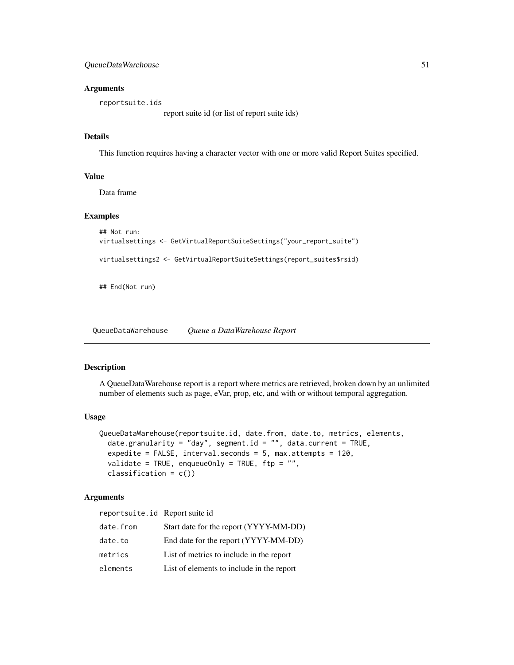<span id="page-50-0"></span>QueueDataWarehouse 51

#### Arguments

reportsuite.ids

report suite id (or list of report suite ids)

#### Details

This function requires having a character vector with one or more valid Report Suites specified.

#### Value

Data frame

## Examples

```
## Not run:
virtualsettings <- GetVirtualReportSuiteSettings("your_report_suite")
virtualsettings2 <- GetVirtualReportSuiteSettings(report_suites$rsid)
```
## End(Not run)

QueueDataWarehouse *Queue a DataWarehouse Report*

#### Description

A QueueDataWarehouse report is a report where metrics are retrieved, broken down by an unlimited number of elements such as page, eVar, prop, etc, and with or without temporal aggregation.

#### Usage

```
QueueDataWarehouse(reportsuite.id, date.from, date.to, metrics, elements,
  date.granularity = "day", segment.id = "", data.current = TRUE,
 expedite = FALSE, interval.seconds = 5, max.attempts = 120,
 validate = TRUE, enqueueOnly = TRUE, ftp = "",classification = c())
```
#### Arguments

| reportsuite.id Report suite id |                                           |
|--------------------------------|-------------------------------------------|
| date.from                      | Start date for the report (YYYY-MM-DD)    |
| date.to                        | End date for the report (YYYY-MM-DD)      |
| metrics                        | List of metrics to include in the report  |
| elements                       | List of elements to include in the report |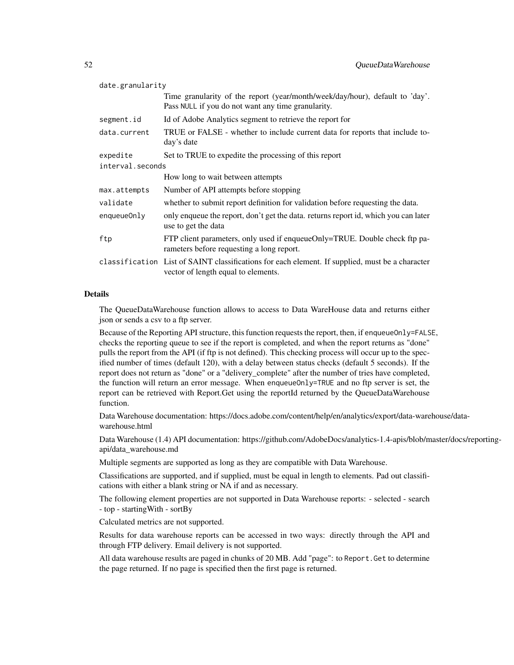| date.granularity |                                                                                                                                        |  |
|------------------|----------------------------------------------------------------------------------------------------------------------------------------|--|
|                  | Time granularity of the report (year/month/week/day/hour), default to 'day'.<br>Pass NULL if you do not want any time granularity.     |  |
| segment.id       | Id of Adobe Analytics segment to retrieve the report for                                                                               |  |
| data.current     | TRUE or FALSE - whether to include current data for reports that include to-<br>day's date                                             |  |
| expedite         | Set to TRUE to expedite the processing of this report                                                                                  |  |
| interval.seconds |                                                                                                                                        |  |
|                  | How long to wait between attempts                                                                                                      |  |
| max.attempts     | Number of API attempts before stopping                                                                                                 |  |
| validate         | whether to submit report definition for validation before requesting the data.                                                         |  |
| enqueueOnly      | only enqueue the report, don't get the data. returns report id, which you can later<br>use to get the data                             |  |
| ftp              | FTP client parameters, only used if enqueueOnly=TRUE. Double check ftp pa-<br>rameters before requesting a long report.                |  |
|                  | classification List of SAINT classifications for each element. If supplied, must be a character<br>vector of length equal to elements. |  |

#### Details

The QueueDataWarehouse function allows to access to Data WareHouse data and returns either json or sends a csv to a ftp server.

Because of the Reporting API structure, this function requests the report, then, if enqueueOnly=FALSE, checks the reporting queue to see if the report is completed, and when the report returns as "done" pulls the report from the API (if ftp is not defined). This checking process will occur up to the specified number of times (default 120), with a delay between status checks (default 5 seconds). If the report does not return as "done" or a "delivery\_complete" after the number of tries have completed, the function will return an error message. When enqueueOnly=TRUE and no ftp server is set, the report can be retrieved with Report.Get using the reportId returned by the QueueDataWarehouse function.

Data Warehouse documentation: https://docs.adobe.com/content/help/en/analytics/export/data-warehouse/datawarehouse.html

Data Warehouse (1.4) API documentation: https://github.com/AdobeDocs/analytics-1.4-apis/blob/master/docs/reportingapi/data\_warehouse.md

Multiple segments are supported as long as they are compatible with Data Warehouse.

Classifications are supported, and if supplied, must be equal in length to elements. Pad out classifications with either a blank string or NA if and as necessary.

The following element properties are not supported in Data Warehouse reports: - selected - search - top - startingWith - sortBy

Calculated metrics are not supported.

Results for data warehouse reports can be accessed in two ways: directly through the API and through FTP delivery. Email delivery is not supported.

All data warehouse results are paged in chunks of 20 MB. Add "page": to Report.Get to determine the page returned. If no page is specified then the first page is returned.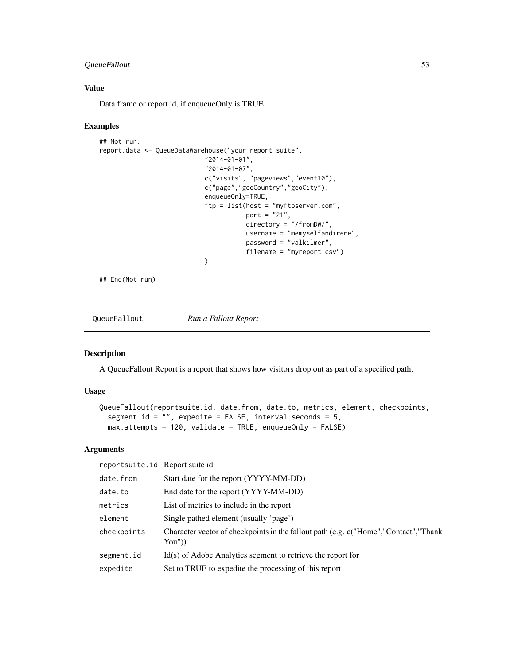## <span id="page-52-0"></span>QueueFallout 53

# Value

Data frame or report id, if enqueueOnly is TRUE

#### Examples

```
## Not run:
report.data <- QueueDataWarehouse("your_report_suite",
                            "2014-01-01",
                            "2014-01-07",
                            c("visits", "pageviews","event10"),
                            c("page","geoCountry","geoCity"),
                            enqueueOnly=TRUE,
                            ftp = list(host = "myftpserver.com",
                                       port = "21",directory = "/fromDW/",
                                       username = "memyselfandirene",
                                       password = "valkilmer",
                                       filename = "myreport.csv")
                            )
```
## End(Not run)

QueueFallout *Run a Fallout Report*

#### Description

A QueueFallout Report is a report that shows how visitors drop out as part of a specified path.

#### Usage

```
QueueFallout(reportsuite.id, date.from, date.to, metrics, element, checkpoints,
  segment.id = "", expedite = FALSE, interval.seconds = 5,
 max.attempts = 120, validate = TRUE, enqueueOnly = FALSE)
```
#### Arguments

reportsuite.id Report suite id

| date.from   | Start date for the report (YYYY-MM-DD)                                                       |
|-------------|----------------------------------------------------------------------------------------------|
| date.to     | End date for the report (YYYY-MM-DD)                                                         |
| metrics     | List of metrics to include in the report                                                     |
| element     | Single pathed element (usually 'page')                                                       |
| checkpoints | Character vector of checkpoints in the fallout path (e.g. c("Home","Contact","Thank<br>You") |
| segment.id  | $Id(s)$ of Adobe Analytics segment to retrieve the report for                                |
| expedite    | Set to TRUE to expedite the processing of this report                                        |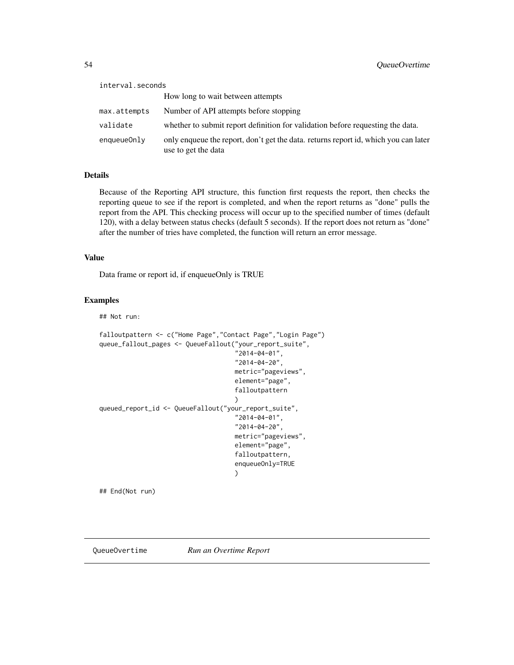<span id="page-53-0"></span>

| interval.seconds |                                                                                                            |
|------------------|------------------------------------------------------------------------------------------------------------|
|                  | How long to wait between attempts                                                                          |
| max.attempts     | Number of API attempts before stopping                                                                     |
| validate         | whether to submit report definition for validation before requesting the data.                             |
| enqueue0nly      | only enqueue the report, don't get the data. returns report id, which you can later<br>use to get the data |

## Details

Because of the Reporting API structure, this function first requests the report, then checks the reporting queue to see if the report is completed, and when the report returns as "done" pulls the report from the API. This checking process will occur up to the specified number of times (default 120), with a delay between status checks (default 5 seconds). If the report does not return as "done" after the number of tries have completed, the function will return an error message.

#### Value

Data frame or report id, if enqueueOnly is TRUE

## Examples

## Not run:

```
falloutpattern <- c("Home Page","Contact Page","Login Page")
queue_fallout_pages <- QueueFallout("your_report_suite",
                                     "2014-04-01",
                                     "2014-04-20",
                                     metric="pageviews",
                                     element="page",
                                     falloutpattern
                                     )
queued_report_id <- QueueFallout("your_report_suite",
                                     "2014-04-01",
                                     "2014-04-20",
                                    metric="pageviews",
                                     element="page",
                                     falloutpattern,
                                     enqueueOnly=TRUE
                                     )
```
## End(Not run)

QueueOvertime *Run an Overtime Report*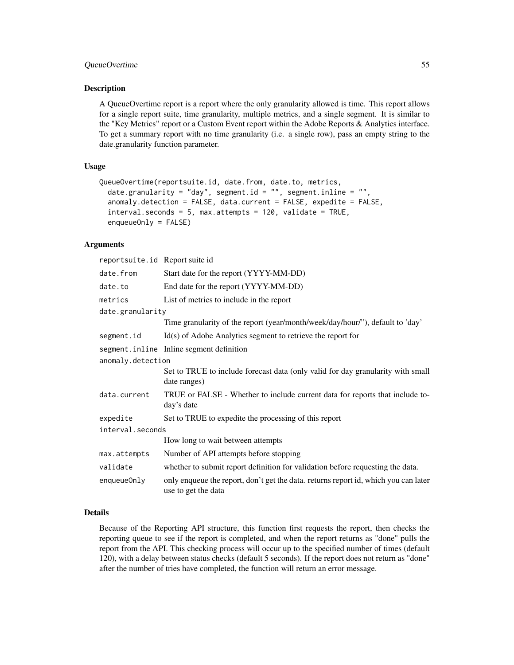## QueueOvertime 55

#### Description

A QueueOvertime report is a report where the only granularity allowed is time. This report allows for a single report suite, time granularity, multiple metrics, and a single segment. It is similar to the "Key Metrics" report or a Custom Event report within the Adobe Reports & Analytics interface. To get a summary report with no time granularity (i.e. a single row), pass an empty string to the date.granularity function parameter.

#### Usage

```
QueueOvertime(reportsuite.id, date.from, date.to, metrics,
  date.granularity = "day", segment.id = "", segment.inline = "",
  anomaly.detection = FALSE, data.current = FALSE, expedite = FALSE,
  interval.seconds = 5, max.attempts = 120, validate = TRUE,
  enqueueOnly = FALSE)
```
# Arguments

| reportsuite.id Report suite id |                                                                                                            |
|--------------------------------|------------------------------------------------------------------------------------------------------------|
| date.from                      | Start date for the report (YYYY-MM-DD)                                                                     |
| date.to                        | End date for the report (YYYY-MM-DD)                                                                       |
| metrics                        | List of metrics to include in the report                                                                   |
| date.granularity               |                                                                                                            |
|                                | Time granularity of the report (year/month/week/day/hour/"), default to 'day'                              |
| segment.id                     | $Id(s)$ of Adobe Analytics segment to retrieve the report for                                              |
|                                | segment.inline Inline segment definition                                                                   |
| anomaly.detection              |                                                                                                            |
|                                | Set to TRUE to include forecast data (only valid for day granularity with small<br>date ranges)            |
| data.current                   | TRUE or FALSE - Whether to include current data for reports that include to-<br>day's date                 |
| expedite                       | Set to TRUE to expedite the processing of this report                                                      |
| interval.seconds               |                                                                                                            |
|                                | How long to wait between attempts                                                                          |
| max.attempts                   | Number of API attempts before stopping                                                                     |
| validate                       | whether to submit report definition for validation before requesting the data.                             |
| enqueueOnly                    | only enqueue the report, don't get the data. returns report id, which you can later<br>use to get the data |

## Details

Because of the Reporting API structure, this function first requests the report, then checks the reporting queue to see if the report is completed, and when the report returns as "done" pulls the report from the API. This checking process will occur up to the specified number of times (default 120), with a delay between status checks (default 5 seconds). If the report does not return as "done" after the number of tries have completed, the function will return an error message.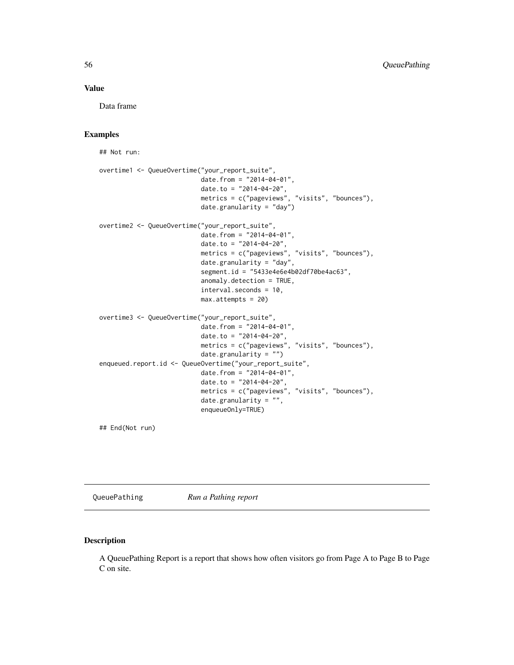#### <span id="page-55-0"></span>Value

Data frame

## Examples

## Not run:

```
overtime1 <- QueueOvertime("your_report_suite",
                           date.from = "2014-04-01",
                           date.to = "2014-04-20",
                           metrics = c("pageviews", "visits", "bounces"),
                           date.granularity = "day")
overtime2 <- QueueOvertime("your_report_suite",
                           date.from = "2014-04-01",
                           date.to = "2014-04-20",
                           metrics = c("pageviews", "visits", "bounces"),
                           date.granularity = "day",
                           segment.id = "5433e4e6e4b02df70be4ac63",
                           anomaly.detection = TRUE,
                           interval.seconds = 10,
                           max.attempts = 20)
overtime3 <- QueueOvertime("your_report_suite",
                           date.from = "2014-04-01",
                           date.to = "2014-04-20",
                           metrics = c("pageviews", "visits", "bounces"),
                           date.granularity = "")
enqueued.report.id <- QueueOvertime("your_report_suite",
                           date.from = "2014-04-01",
                           date.to = "2014-04-20",
                           metrics = c("pageviews", "visits", "bounces"),
                           date.granularity = "",
                           enqueueOnly=TRUE)
```
## End(Not run)

QueuePathing *Run a Pathing report*

#### Description

A QueuePathing Report is a report that shows how often visitors go from Page A to Page B to Page C on site.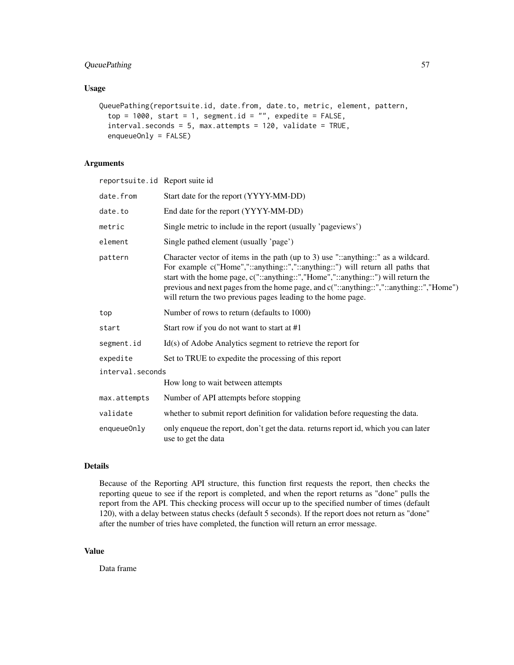# QueuePathing 57

## Usage

```
QueuePathing(reportsuite.id, date.from, date.to, metric, element, pattern,
  top = 1000, start = 1, segment.id = "", expedite = FALSE,
  interval.seconds = 5, max.attempts = 120, validate = TRUE,
  enqueueOnly = FALSE)
```
## Arguments

| reportsuite.id Report suite id |                                                                                                                                                                                                                                                                                                                                                                                                                     |
|--------------------------------|---------------------------------------------------------------------------------------------------------------------------------------------------------------------------------------------------------------------------------------------------------------------------------------------------------------------------------------------------------------------------------------------------------------------|
| date.from                      | Start date for the report (YYYY-MM-DD)                                                                                                                                                                                                                                                                                                                                                                              |
| date.to                        | End date for the report (YYYY-MM-DD)                                                                                                                                                                                                                                                                                                                                                                                |
| metric                         | Single metric to include in the report (usually 'pageviews')                                                                                                                                                                                                                                                                                                                                                        |
| element                        | Single pathed element (usually 'page')                                                                                                                                                                                                                                                                                                                                                                              |
| pattern                        | Character vector of items in the path (up to 3) use "::anything::" as a wildcard.<br>For example c("Home","::anything::","::anything::") will return all paths that<br>start with the home page, c("::anything::","Home","::anything::") will return the<br>previous and next pages from the home page, and c("::anything::","::anything::","Home")<br>will return the two previous pages leading to the home page. |
| top                            | Number of rows to return (defaults to 1000)                                                                                                                                                                                                                                                                                                                                                                         |
| start                          | Start row if you do not want to start at #1                                                                                                                                                                                                                                                                                                                                                                         |
| segment.id                     | $Id(s)$ of Adobe Analytics segment to retrieve the report for                                                                                                                                                                                                                                                                                                                                                       |
| expedite                       | Set to TRUE to expedite the processing of this report                                                                                                                                                                                                                                                                                                                                                               |
| interval.seconds               |                                                                                                                                                                                                                                                                                                                                                                                                                     |
|                                | How long to wait between attempts                                                                                                                                                                                                                                                                                                                                                                                   |
| max.attempts                   | Number of API attempts before stopping                                                                                                                                                                                                                                                                                                                                                                              |
| validate                       | whether to submit report definition for validation before requesting the data.                                                                                                                                                                                                                                                                                                                                      |
| enqueueOnly                    | only enqueue the report, don't get the data. returns report id, which you can later<br>use to get the data                                                                                                                                                                                                                                                                                                          |

## Details

Because of the Reporting API structure, this function first requests the report, then checks the reporting queue to see if the report is completed, and when the report returns as "done" pulls the report from the API. This checking process will occur up to the specified number of times (default 120), with a delay between status checks (default 5 seconds). If the report does not return as "done" after the number of tries have completed, the function will return an error message.

# Value

Data frame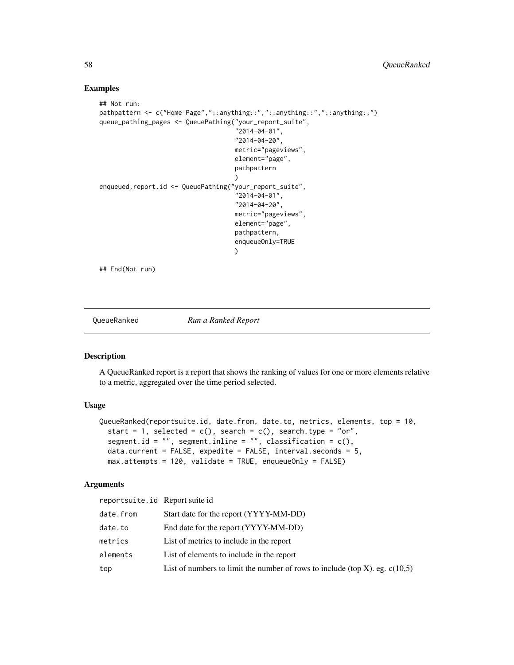#### Examples

```
## Not run:
pathpattern <- c("Home Page","::anything::","::anything::","::anything::")
queue_pathing_pages <- QueuePathing("your_report_suite",
                                     "2014-04-01",
                                     "2014-04-20",
                                     metric="pageviews",
                                     element="page",
                                     pathpattern
                                     )
enqueued.report.id <- QueuePathing("your_report_suite",
                                     "2014-04-01",
                                     "2014-04-20",
                                    metric="pageviews",
                                     element="page",
                                     pathpattern,
                                     enqueueOnly=TRUE
                                     )
## End(Not run)
```
QueueRanked *Run a Ranked Report*

#### Description

A QueueRanked report is a report that shows the ranking of values for one or more elements relative to a metric, aggregated over the time period selected.

## Usage

```
QueueRanked(reportsuite.id, date.from, date.to, metrics, elements, top = 10,
  start = 1, selected = c(), search = c(), search.type = "or",
  segment.id = ", segment.inline = ", classification = c(),
  data.current = FALSE, expedite = FALSE, interval.seconds = 5,
 max.attempts = 120, validate = TRUE, enqueueOnly = FALSE)
```
## Arguments

| reportsuite.id Report suite id |                                                                               |
|--------------------------------|-------------------------------------------------------------------------------|
| date.from                      | Start date for the report (YYYY-MM-DD)                                        |
| date.to                        | End date for the report (YYYY-MM-DD)                                          |
| metrics                        | List of metrics to include in the report                                      |
| elements                       | List of elements to include in the report                                     |
| top                            | List of numbers to limit the number of rows to include (top X). eg. $c(10,5)$ |

<span id="page-57-0"></span>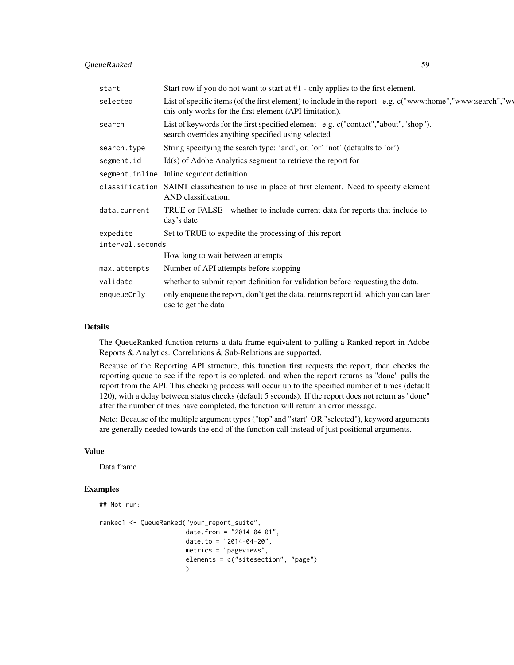#### QueueRanked 59

| start            | Start row if you do not want to start at $#1$ - only applies to the first element.                                                                                     |  |
|------------------|------------------------------------------------------------------------------------------------------------------------------------------------------------------------|--|
| selected         | List of specific items (of the first element) to include in the report - e.g. c("www:home","www:search","wy<br>this only works for the first element (API limitation). |  |
| search           | List of keywords for the first specified element - e.g. c("contact","about","shop").<br>search overrides anything specified using selected                             |  |
| search.type      | String specifying the search type: 'and', or, 'or' 'not' (defaults to 'or')                                                                                            |  |
| segment.id       | $Id(s)$ of Adobe Analytics segment to retrieve the report for                                                                                                          |  |
|                  | segment.inline Inline segment definition                                                                                                                               |  |
| classification   | SAINT classification to use in place of first element. Need to specify element<br>AND classification.                                                                  |  |
| data.current     | TRUE or FALSE - whether to include current data for reports that include to-<br>day's date                                                                             |  |
| expedite         | Set to TRUE to expedite the processing of this report                                                                                                                  |  |
| interval.seconds |                                                                                                                                                                        |  |
|                  | How long to wait between attempts                                                                                                                                      |  |
| max.attempts     | Number of API attempts before stopping                                                                                                                                 |  |
| validate         | whether to submit report definition for validation before requesting the data.                                                                                         |  |
| enqueueOnly      | only enqueue the report, don't get the data. returns report id, which you can later<br>use to get the data                                                             |  |

#### Details

The QueueRanked function returns a data frame equivalent to pulling a Ranked report in Adobe Reports & Analytics. Correlations & Sub-Relations are supported.

Because of the Reporting API structure, this function first requests the report, then checks the reporting queue to see if the report is completed, and when the report returns as "done" pulls the report from the API. This checking process will occur up to the specified number of times (default 120), with a delay between status checks (default 5 seconds). If the report does not return as "done" after the number of tries have completed, the function will return an error message.

Note: Because of the multiple argument types ("top" and "start" OR "selected"), keyword arguments are generally needed towards the end of the function call instead of just positional arguments.

#### Value

Data frame

## Examples

```
## Not run:
ranked1 <- QueueRanked("your_report_suite",
                       date.from = "2014-04-01",
                       date.to = "2014-04-20",
                       metrics = "pageviews",
                       elements = c("sitesection", "page")
                       )
```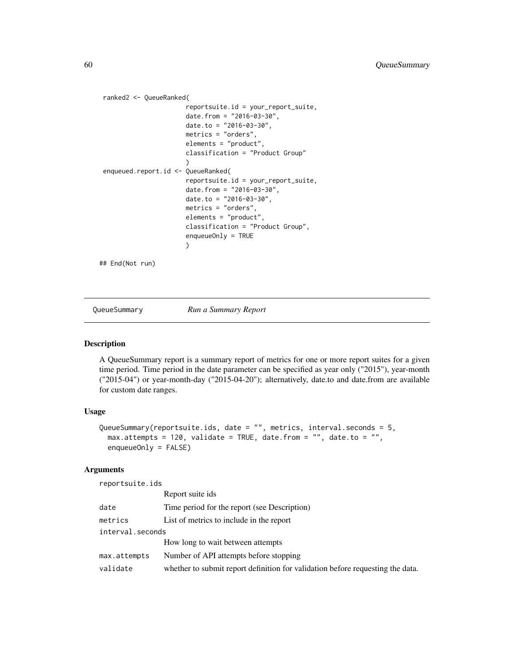```
ranked2 <- QueueRanked(
                       reportsuite.id = your_report_suite,
                       date.from = "2016-03-30",
                       date.to = "2016-03-30",
                       metrics = "orders",
                       elements = "product",
                       classification = "Product Group"
                       )
enqueued.report.id <- QueueRanked(
                       reportsuite.id = your_report_suite,
                       date.from = "2016-03-30",
                       date.to = "2016-03-30",metrics = "orders",
                       elements = "product",
                       classification = "Product Group",
                       enqueueOnly = TRUE
                       \lambda## End(Not run)
```
QueueSummary *Run a Summary Report*

#### Description

A QueueSummary report is a summary report of metrics for one or more report suites for a given time period. Time period in the date parameter can be specified as year only ("2015"), year-month ("2015-04") or year-month-day ("2015-04-20"); alternatively, date.to and date.from are available for custom date ranges.

#### Usage

```
QueueSummary(reportsuite.ids, date = "", metrics, interval.seconds = 5,
 max.attempts = 120, validate = TRUE, date.from = "", date.to = "",
  enqueueOnly = FALSE)
```
#### Arguments

reportsuite.ids

|                  | Report suite ids                                                               |
|------------------|--------------------------------------------------------------------------------|
| date             | Time period for the report (see Description)                                   |
| metrics          | List of metrics to include in the report                                       |
| interval.seconds |                                                                                |
|                  | How long to wait between attempts                                              |
| max.attempts     | Number of API attempts before stopping                                         |
| validate         | whether to submit report definition for validation before requesting the data. |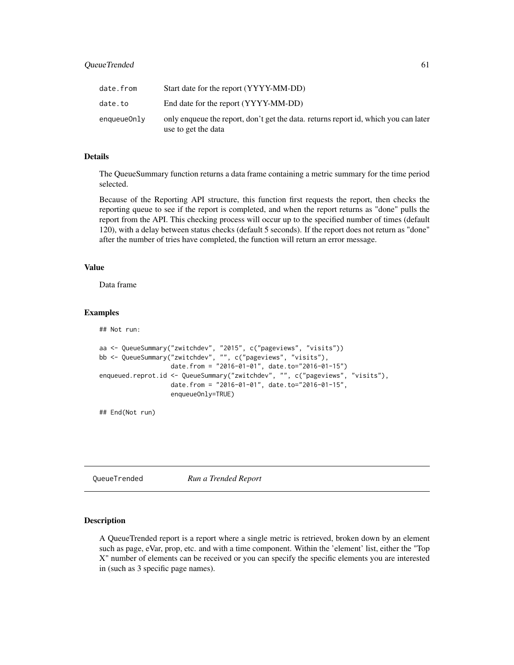<span id="page-60-0"></span>

| date.from   | Start date for the report (YYYY-MM-DD)                                                                     |
|-------------|------------------------------------------------------------------------------------------------------------|
| date.to     | End date for the report (YYYY-MM-DD)                                                                       |
| enqueueOnly | only enqueue the report, don't get the data. returns report id, which you can later<br>use to get the data |

## Details

The QueueSummary function returns a data frame containing a metric summary for the time period selected.

Because of the Reporting API structure, this function first requests the report, then checks the reporting queue to see if the report is completed, and when the report returns as "done" pulls the report from the API. This checking process will occur up to the specified number of times (default 120), with a delay between status checks (default 5 seconds). If the report does not return as "done" after the number of tries have completed, the function will return an error message.

#### Value

Data frame

#### Examples

## Not run:

```
aa <- QueueSummary("zwitchdev", "2015", c("pageviews", "visits"))
bb <- QueueSummary("zwitchdev", "", c("pageviews", "visits"),
                  date.from = "2016-01-01", date.to="2016-01-15")
enqueued.reprot.id <- QueueSummary("zwitchdev", "", c("pageviews", "visits"),
                   date.from = "2016-01-01", date.to="2016-01-15",
                   enqueueOnly=TRUE)
```
## End(Not run)

QueueTrended *Run a Trended Report*

#### Description

A QueueTrended report is a report where a single metric is retrieved, broken down by an element such as page, eVar, prop, etc. and with a time component. Within the 'element' list, either the "Top X" number of elements can be received or you can specify the specific elements you are interested in (such as 3 specific page names).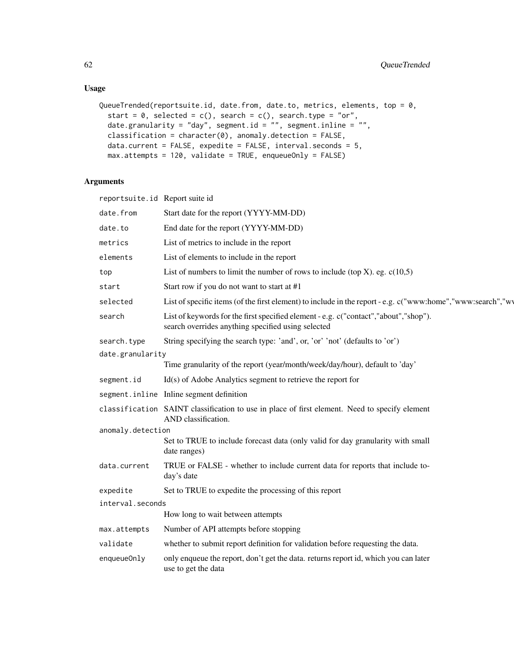# Usage

```
QueueTrended(reportsuite.id, date.from, date.to, metrics, elements, top = 0,
  start = 0, selected = c(), search = c(), search.type = "or",
 date.granularity = "day", segment.id = "", segment.inline = "",
 classification = character(0), anomaly.detection = FALSE,
 data.current = FALSE, expedite = FALSE, interval.seconds = 5,
 max.attempts = 120, validate = TRUE, enqueueOnly = FALSE)
```
# Arguments

| reportsuite.id Report suite id |                                                                                                                                            |  |
|--------------------------------|--------------------------------------------------------------------------------------------------------------------------------------------|--|
| date.from                      | Start date for the report (YYYY-MM-DD)                                                                                                     |  |
| date.to                        | End date for the report (YYYY-MM-DD)                                                                                                       |  |
| metrics                        | List of metrics to include in the report                                                                                                   |  |
| elements                       | List of elements to include in the report                                                                                                  |  |
| top                            | List of numbers to limit the number of rows to include (top X). eg. $c(10,5)$                                                              |  |
| start                          | Start row if you do not want to start at #1                                                                                                |  |
| selected                       | List of specific items (of the first element) to include in the report - e.g. c("www:home","www:search","wy                                |  |
| search                         | List of keywords for the first specified element - e.g. c("contact","about","shop").<br>search overrides anything specified using selected |  |
| search.type                    | String specifying the search type: 'and', or, 'or' 'not' (defaults to 'or')                                                                |  |
| date.granularity               |                                                                                                                                            |  |
|                                | Time granularity of the report (year/month/week/day/hour), default to 'day'                                                                |  |
| segment.id                     | $Id(s)$ of Adobe Analytics segment to retrieve the report for                                                                              |  |
|                                | segment.inline Inline segment definition                                                                                                   |  |
|                                | classification SAINT classification to use in place of first element. Need to specify element<br>AND classification.                       |  |
| anomaly.detection              |                                                                                                                                            |  |
|                                | Set to TRUE to include forecast data (only valid for day granularity with small<br>date ranges)                                            |  |
| data.current                   | TRUE or FALSE - whether to include current data for reports that include to-<br>day's date                                                 |  |
| expedite                       | Set to TRUE to expedite the processing of this report                                                                                      |  |
| interval.seconds               |                                                                                                                                            |  |
|                                | How long to wait between attempts                                                                                                          |  |
| max.attempts                   | Number of API attempts before stopping                                                                                                     |  |
| validate                       | whether to submit report definition for validation before requesting the data.                                                             |  |
| enqueueOnly                    | only enqueue the report, don't get the data. returns report id, which you can later<br>use to get the data                                 |  |
|                                |                                                                                                                                            |  |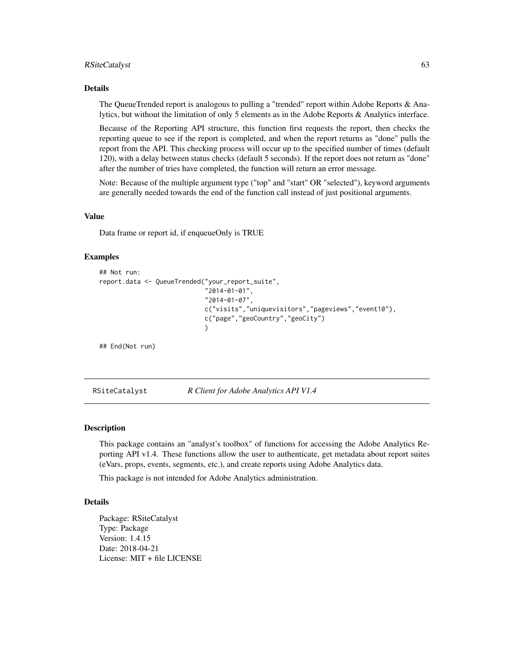#### <span id="page-62-0"></span>RSiteCatalyst 63

#### Details

The QueueTrended report is analogous to pulling a "trended" report within Adobe Reports & Analytics, but without the limitation of only 5 elements as in the Adobe Reports & Analytics interface.

Because of the Reporting API structure, this function first requests the report, then checks the reporting queue to see if the report is completed, and when the report returns as "done" pulls the report from the API. This checking process will occur up to the specified number of times (default 120), with a delay between status checks (default 5 seconds). If the report does not return as "done" after the number of tries have completed, the function will return an error message.

Note: Because of the multiple argument type ("top" and "start" OR "selected"), keyword arguments are generally needed towards the end of the function call instead of just positional arguments.

#### Value

Data frame or report id, if enqueueOnly is TRUE

#### Examples

```
## Not run:
report.data <- QueueTrended("your_report_suite",
                             "2014-01-01",
                            "2014-01-07",
                            c("visits","uniquevisitors","pageviews","event10"),
                            c("page","geoCountry","geoCity")
                            )
```
## End(Not run)

RSiteCatalyst *R Client for Adobe Analytics API V1.4*

#### **Description**

This package contains an "analyst's toolbox" of functions for accessing the Adobe Analytics Reporting API v1.4. These functions allow the user to authenticate, get metadata about report suites (eVars, props, events, segments, etc.), and create reports using Adobe Analytics data.

This package is not intended for Adobe Analytics administration.

#### Details

Package: RSiteCatalyst Type: Package Version: 1.4.15 Date: 2018-04-21 License: MIT + file LICENSE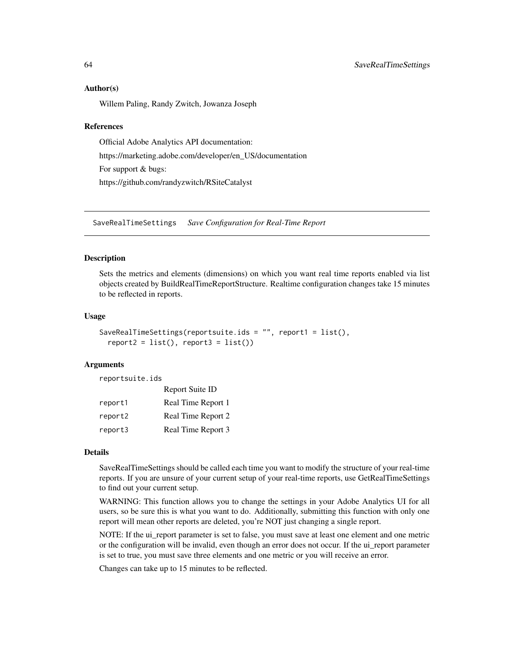#### Author(s)

Willem Paling, Randy Zwitch, Jowanza Joseph

#### References

Official Adobe Analytics API documentation: https://marketing.adobe.com/developer/en\_US/documentation For support & bugs: https://github.com/randyzwitch/RSiteCatalyst

<span id="page-63-1"></span>SaveRealTimeSettings *Save Configuration for Real-Time Report*

## Description

Sets the metrics and elements (dimensions) on which you want real time reports enabled via list objects created by BuildRealTimeReportStructure. Realtime configuration changes take 15 minutes to be reflected in reports.

#### Usage

```
SaveRealTimeSettings(reportsuite.ids = "", report1 = list(),
  report2 = list(), report3 = list())
```
#### **Arguments**

reportsuite.ids

|         | Report Suite ID    |
|---------|--------------------|
| report1 | Real Time Report 1 |
| report2 | Real Time Report 2 |
| report3 | Real Time Report 3 |

#### Details

SaveRealTimeSettings should be called each time you want to modify the structure of your real-time reports. If you are unsure of your current setup of your real-time reports, use GetRealTimeSettings to find out your current setup.

WARNING: This function allows you to change the settings in your Adobe Analytics UI for all users, so be sure this is what you want to do. Additionally, submitting this function with only one report will mean other reports are deleted, you're NOT just changing a single report.

NOTE: If the ui\_report parameter is set to false, you must save at least one element and one metric or the configuration will be invalid, even though an error does not occur. If the ui\_report parameter is set to true, you must save three elements and one metric or you will receive an error.

Changes can take up to 15 minutes to be reflected.

<span id="page-63-0"></span>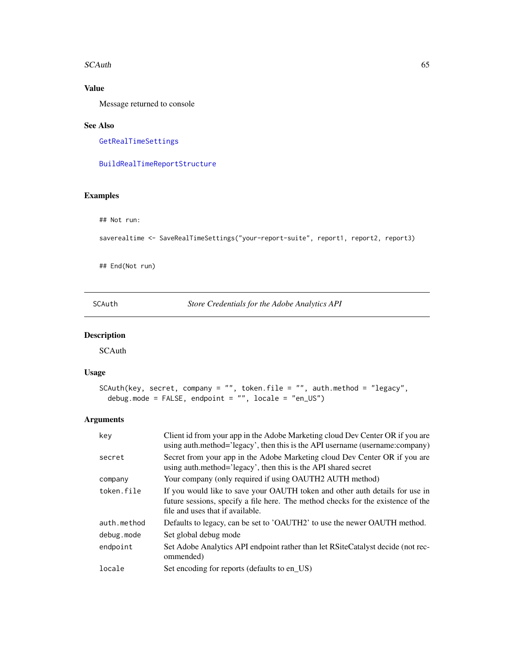#### <span id="page-64-0"></span> $SCA$ uth 65

# Value

Message returned to console

#### See Also

[GetRealTimeSettings](#page-36-1)

[BuildRealTimeReportStructure](#page-3-1)

## Examples

## Not run:

```
saverealtime <- SaveRealTimeSettings("your-report-suite", report1, report2, report3)
```
## End(Not run)

SCAuth *Store Credentials for the Adobe Analytics API*

# Description

SCAuth

#### Usage

```
SCAuth(key, secret, company = "", token.file = "", auth.method = "legacy",
 debug.mode = FALSE, endpoint = "", locale = "en_US")
```
## Arguments

| key         | Client id from your app in the Adobe Marketing cloud Dev Center OR if you are<br>using auth.method='legacy', then this is the API username (username:company)                                        |
|-------------|------------------------------------------------------------------------------------------------------------------------------------------------------------------------------------------------------|
| secret      | Secret from your app in the Adobe Marketing cloud Dev Center OR if you are<br>using auth.method='legacy', then this is the API shared secret                                                         |
| company     | Your company (only required if using OAUTH2 AUTH method)                                                                                                                                             |
| token.file  | If you would like to save your OAUTH token and other auth details for use in<br>future sessions, specify a file here. The method checks for the existence of the<br>file and uses that if available. |
| auth.method | Defaults to legacy, can be set to 'OAUTH2' to use the newer OAUTH method.                                                                                                                            |
| debug.mode  | Set global debug mode                                                                                                                                                                                |
| endpoint    | Set Adobe Analytics API endpoint rather than let RSiteCatalyst decide (not rec-<br>ommended)                                                                                                         |
| locale      | Set encoding for reports (defaults to en_US)                                                                                                                                                         |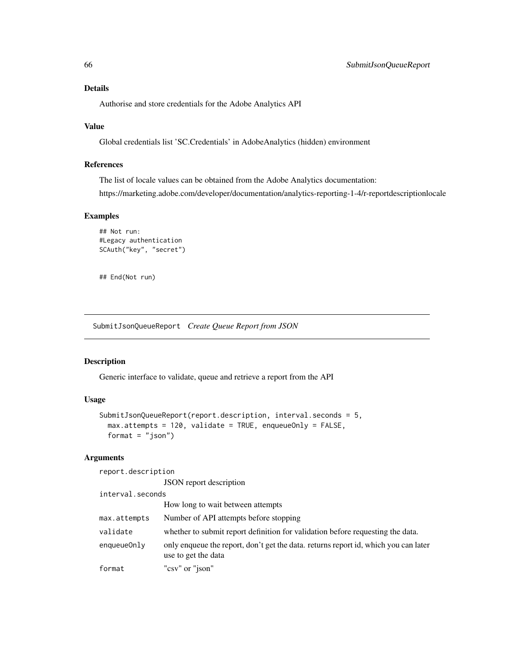## Details

Authorise and store credentials for the Adobe Analytics API

#### Value

Global credentials list 'SC.Credentials' in AdobeAnalytics (hidden) environment

# References

The list of locale values can be obtained from the Adobe Analytics documentation:

https://marketing.adobe.com/developer/documentation/analytics-reporting-1-4/r-reportdescriptionlocale

#### Examples

```
## Not run:
#Legacy authentication
SCAuth("key", "secret")
```
## End(Not run)

SubmitJsonQueueReport *Create Queue Report from JSON*

#### Description

Generic interface to validate, queue and retrieve a report from the API

#### Usage

```
SubmitJsonQueueReport(report.description, interval.seconds = 5,
 max.attempts = 120, validate = TRUE, enqueueOnly = FALSE,
 format = "json")
```
# Arguments

report.description

JSON report description

interval.seconds

|              | How long to wait between attempts                                                                          |
|--------------|------------------------------------------------------------------------------------------------------------|
| max.attempts | Number of API attempts before stopping                                                                     |
| validate     | whether to submit report definition for validation before requesting the data.                             |
| enqueueOnly  | only enqueue the report, don't get the data. returns report id, which you can later<br>use to get the data |
| format       | "csv" or "json"                                                                                            |

<span id="page-65-0"></span>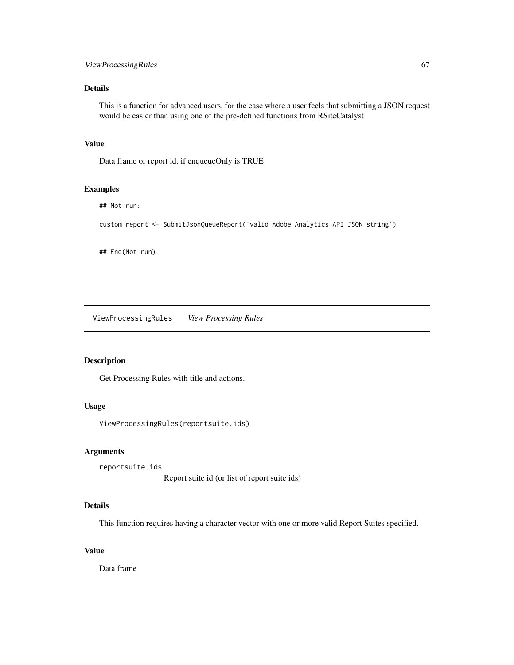## <span id="page-66-0"></span>ViewProcessingRules 67

# Details

This is a function for advanced users, for the case where a user feels that submitting a JSON request would be easier than using one of the pre-defined functions from RSiteCatalyst

## Value

Data frame or report id, if enqueueOnly is TRUE

## Examples

```
## Not run:
```
custom\_report <- SubmitJsonQueueReport('valid Adobe Analytics API JSON string')

## End(Not run)

ViewProcessingRules *View Processing Rules*

# Description

Get Processing Rules with title and actions.

# Usage

ViewProcessingRules(reportsuite.ids)

#### Arguments

reportsuite.ids

Report suite id (or list of report suite ids)

#### Details

This function requires having a character vector with one or more valid Report Suites specified.

# Value

Data frame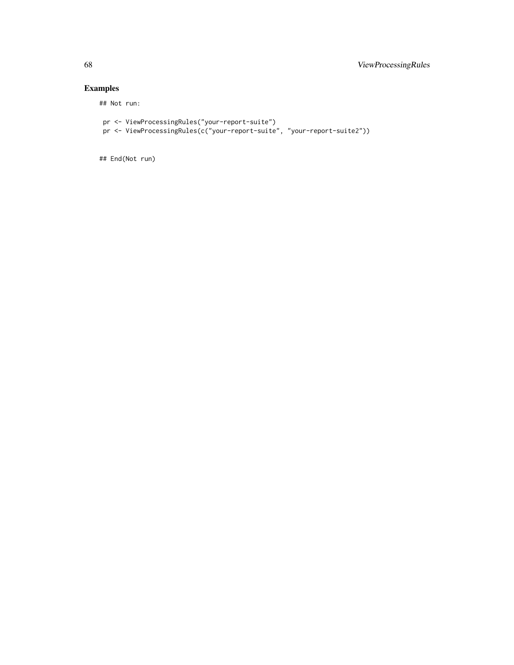# Examples

## Not run:

```
pr <- ViewProcessingRules("your-report-suite")
pr <- ViewProcessingRules(c("your-report-suite", "your-report-suite2"))
```
## End(Not run)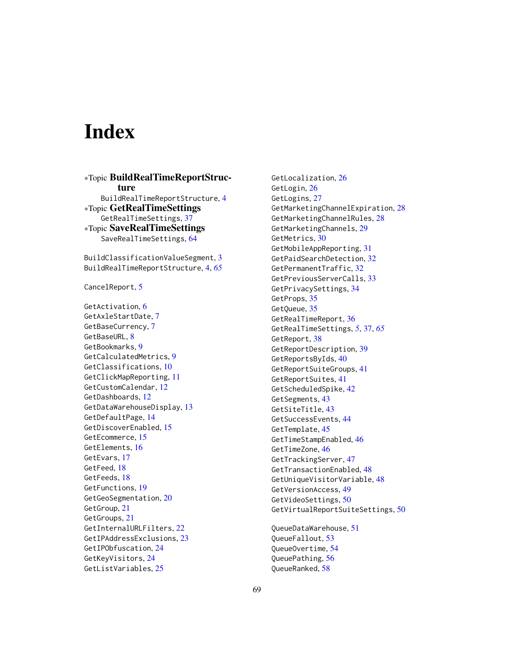# <span id="page-68-0"></span>**Index**

∗Topic BuildRealTimeReportStructure BuildRealTimeReportStructure, [4](#page-3-0) ∗Topic GetRealTimeSettings GetRealTimeSettings, [37](#page-36-0) ∗Topic SaveRealTimeSettings SaveRealTimeSettings, [64](#page-63-0)

BuildClassificationValueSegment, [3](#page-2-0) BuildRealTimeReportStructure, [4,](#page-3-0) *[65](#page-64-0)*

CancelReport, [5](#page-4-0)

GetActivation, [6](#page-5-0) GetAxleStartDate, [7](#page-6-0) GetBaseCurrency, [7](#page-6-0) GetBaseURL, [8](#page-7-0) GetBookmarks, [9](#page-8-0) GetCalculatedMetrics, [9](#page-8-0) GetClassifications, [10](#page-9-0) GetClickMapReporting, [11](#page-10-0) GetCustomCalendar, [12](#page-11-0) GetDashboards, [12](#page-11-0) GetDataWarehouseDisplay, [13](#page-12-0) GetDefaultPage, [14](#page-13-0) GetDiscoverEnabled, [15](#page-14-0) GetEcommerce, [15](#page-14-0) GetElements, [16](#page-15-0) GetEvars, [17](#page-16-0) GetFeed, [18](#page-17-0) GetFeeds, [18](#page-17-0) GetFunctions, [19](#page-18-0) GetGeoSegmentation, [20](#page-19-0) GetGroup, [21](#page-20-0) GetGroups, [21](#page-20-0) GetInternalURLFilters, [22](#page-21-0) GetIPAddressExclusions, [23](#page-22-0) GetIPObfuscation, [24](#page-23-0) GetKeyVisitors, [24](#page-23-0) GetListVariables, [25](#page-24-0)

GetLocalization, [26](#page-25-0) GetLogin, [26](#page-25-0) GetLogins, [27](#page-26-0) GetMarketingChannelExpiration, [28](#page-27-0) GetMarketingChannelRules, [28](#page-27-0) GetMarketingChannels, [29](#page-28-0) GetMetrics, [30](#page-29-0) GetMobileAppReporting, [31](#page-30-0) GetPaidSearchDetection, [32](#page-31-0) GetPermanentTraffic, [32](#page-31-0) GetPreviousServerCalls, [33](#page-32-0) GetPrivacySettings, [34](#page-33-0) GetProps, [35](#page-34-0) GetQueue, [35](#page-34-0) GetRealTimeReport, [36](#page-35-0) GetRealTimeSettings, *[5](#page-4-0)*, [37,](#page-36-0) *[65](#page-64-0)* GetReport, [38](#page-37-0) GetReportDescription, [39](#page-38-0) GetReportsByIds, [40](#page-39-0) GetReportSuiteGroups, [41](#page-40-0) GetReportSuites, [41](#page-40-0) GetScheduledSpike, [42](#page-41-0) GetSegments, [43](#page-42-0) GetSiteTitle, [43](#page-42-0) GetSuccessEvents, [44](#page-43-0) GetTemplate, [45](#page-44-0) GetTimeStampEnabled, [46](#page-45-0) GetTimeZone, [46](#page-45-0) GetTrackingServer, [47](#page-46-0) GetTransactionEnabled, [48](#page-47-0) GetUniqueVisitorVariable, [48](#page-47-0) GetVersionAccess, [49](#page-48-0) GetVideoSettings, [50](#page-49-0) GetVirtualReportSuiteSettings, [50](#page-49-0)

QueueDataWarehouse, [51](#page-50-0) QueueFallout, [53](#page-52-0) QueueOvertime, [54](#page-53-0) QueuePathing, [56](#page-55-0) QueueRanked, [58](#page-57-0)